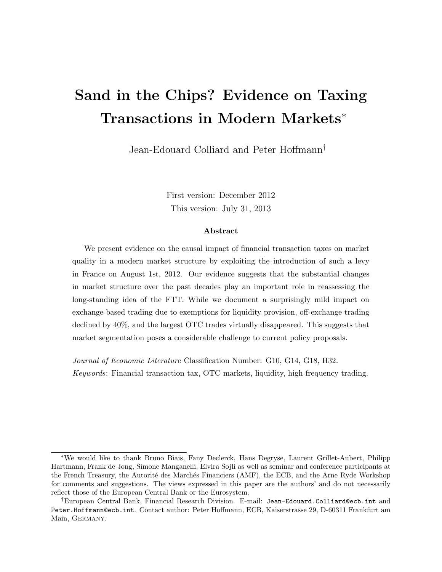# Sand in the Chips? Evidence on Taxing Transactions in Modern Markets<sup>∗</sup>

Jean-Edouard Colliard and Peter Hoffmann†

First version: December 2012 This version: July 31, 2013

#### Abstract

We present evidence on the causal impact of financial transaction taxes on market quality in a modern market structure by exploiting the introduction of such a levy in France on August 1st, 2012. Our evidence suggests that the substantial changes in market structure over the past decades play an important role in reassessing the long-standing idea of the FTT. While we document a surprisingly mild impact on exchange-based trading due to exemptions for liquidity provision, off-exchange trading declined by 40%, and the largest OTC trades virtually disappeared. This suggests that market segmentation poses a considerable challenge to current policy proposals.

Journal of Economic Literature Classification Number: G10, G14, G18, H32. Keywords: Financial transaction tax, OTC markets, liquidity, high-frequency trading.

<sup>∗</sup>We would like to thank Bruno Biais, Fany Declerck, Hans Degryse, Laurent Grillet-Aubert, Philipp Hartmann, Frank de Jong, Simone Manganelli, Elvira Sojli as well as seminar and conference participants at the French Treasury, the Autorité des Marchés Financiers (AMF), the ECB, and the Arne Ryde Workshop for comments and suggestions. The views expressed in this paper are the authors' and do not necessarily reflect those of the European Central Bank or the Eurosystem.

<sup>†</sup>European Central Bank, Financial Research Division. E-mail: Jean-Edouard.Colliard@ecb.int and Peter.Hoffmann@ecb.int. Contact author: Peter Hoffmann, ECB, Kaiserstrasse 29, D-60311 Frankfurt am Main, Germany.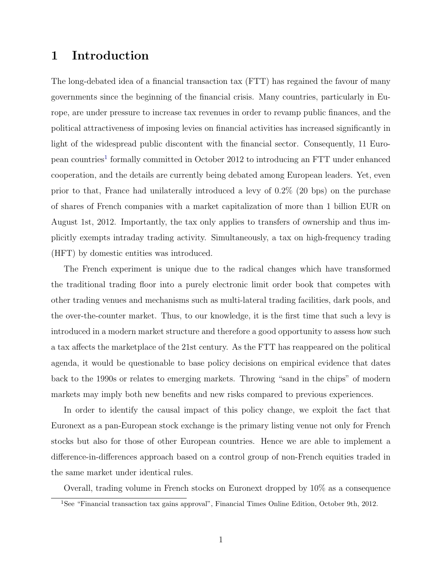## 1 Introduction

The long-debated idea of a financial transaction tax (FTT) has regained the favour of many governments since the beginning of the financial crisis. Many countries, particularly in Europe, are under pressure to increase tax revenues in order to revamp public finances, and the political attractiveness of imposing levies on financial activities has increased significantly in light of the widespread public discontent with the financial sector. Consequently, 11 Euro-pean countries<sup>[1](#page-1-0)</sup> formally committed in October 2012 to introducing an FTT under enhanced cooperation, and the details are currently being debated among European leaders. Yet, even prior to that, France had unilaterally introduced a levy of 0.2% (20 bps) on the purchase of shares of French companies with a market capitalization of more than 1 billion EUR on August 1st, 2012. Importantly, the tax only applies to transfers of ownership and thus implicitly exempts intraday trading activity. Simultaneously, a tax on high-frequency trading (HFT) by domestic entities was introduced.

The French experiment is unique due to the radical changes which have transformed the traditional trading floor into a purely electronic limit order book that competes with other trading venues and mechanisms such as multi-lateral trading facilities, dark pools, and the over-the-counter market. Thus, to our knowledge, it is the first time that such a levy is introduced in a modern market structure and therefore a good opportunity to assess how such a tax affects the marketplace of the 21st century. As the FTT has reappeared on the political agenda, it would be questionable to base policy decisions on empirical evidence that dates back to the 1990s or relates to emerging markets. Throwing "sand in the chips" of modern markets may imply both new benefits and new risks compared to previous experiences.

In order to identify the causal impact of this policy change, we exploit the fact that Euronext as a pan-European stock exchange is the primary listing venue not only for French stocks but also for those of other European countries. Hence we are able to implement a difference-in-differences approach based on a control group of non-French equities traded in the same market under identical rules.

Overall, trading volume in French stocks on Euronext dropped by 10% as a consequence

<span id="page-1-0"></span><sup>1</sup>See "Financial transaction tax gains approval", Financial Times Online Edition, October 9th, 2012.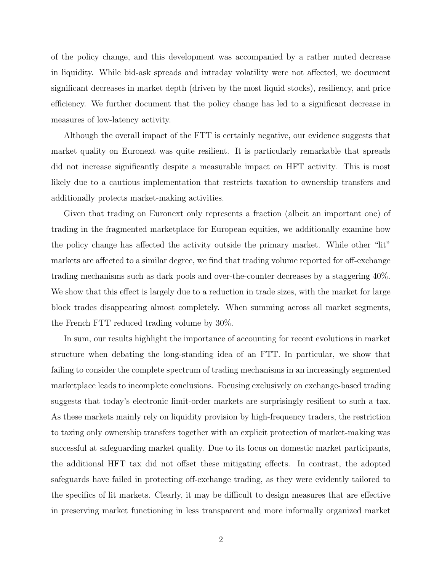of the policy change, and this development was accompanied by a rather muted decrease in liquidity. While bid-ask spreads and intraday volatility were not affected, we document significant decreases in market depth (driven by the most liquid stocks), resiliency, and price efficiency. We further document that the policy change has led to a significant decrease in measures of low-latency activity.

Although the overall impact of the FTT is certainly negative, our evidence suggests that market quality on Euronext was quite resilient. It is particularly remarkable that spreads did not increase significantly despite a measurable impact on HFT activity. This is most likely due to a cautious implementation that restricts taxation to ownership transfers and additionally protects market-making activities.

Given that trading on Euronext only represents a fraction (albeit an important one) of trading in the fragmented marketplace for European equities, we additionally examine how the policy change has affected the activity outside the primary market. While other "lit" markets are affected to a similar degree, we find that trading volume reported for off-exchange trading mechanisms such as dark pools and over-the-counter decreases by a staggering 40%. We show that this effect is largely due to a reduction in trade sizes, with the market for large block trades disappearing almost completely. When summing across all market segments, the French FTT reduced trading volume by 30%.

In sum, our results highlight the importance of accounting for recent evolutions in market structure when debating the long-standing idea of an FTT. In particular, we show that failing to consider the complete spectrum of trading mechanisms in an increasingly segmented marketplace leads to incomplete conclusions. Focusing exclusively on exchange-based trading suggests that today's electronic limit-order markets are surprisingly resilient to such a tax. As these markets mainly rely on liquidity provision by high-frequency traders, the restriction to taxing only ownership transfers together with an explicit protection of market-making was successful at safeguarding market quality. Due to its focus on domestic market participants, the additional HFT tax did not offset these mitigating effects. In contrast, the adopted safeguards have failed in protecting off-exchange trading, as they were evidently tailored to the specifics of lit markets. Clearly, it may be difficult to design measures that are effective in preserving market functioning in less transparent and more informally organized market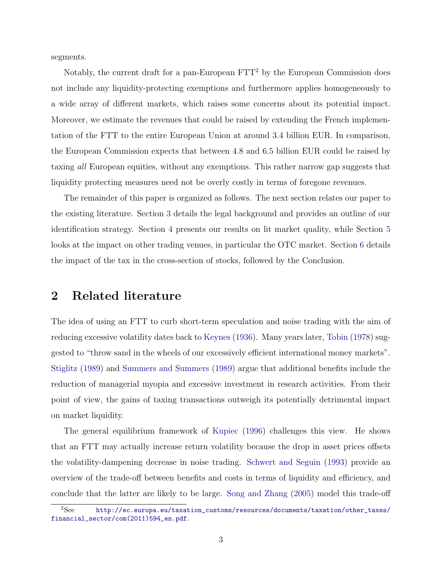<span id="page-3-1"></span>segments.

Notably, the current draft for a pan-European  $\text{FTT}^2$  $\text{FTT}^2$  by the European Commission does not include any liquidity-protecting exemptions and furthermore applies homogeneously to a wide array of different markets, which raises some concerns about its potential impact. Moreover, we estimate the revenues that could be raised by extending the French implementation of the FTT to the entire European Union at around 3.4 billion EUR. In comparison, the European Commission expects that between 4.8 and 6.5 billion EUR could be raised by taxing all European equities, without any exemptions. This rather narrow gap suggests that liquidity protecting measures need not be overly costly in terms of foregone revenues.

The remainder of this paper is organized as follows. The next section relates our paper to the existing literature. Section [3](#page-6-0) details the legal background and provides an outline of our identification strategy. Section [4](#page-9-0) presents our results on lit market quality, while Section [5](#page-17-0) looks at the impact on other trading venues, in particular the OTC market. Section [6](#page-27-0) details the impact of the tax in the cross-section of stocks, followed by the Conclusion.

# 2 Related literature

The idea of using an FTT to curb short-term speculation and noise trading with the aim of reducing excessive volatility dates back to [Keynes](#page-47-0) [\(1936\)](#page-47-0). Many years later, [Tobin](#page-48-0) [\(1978\)](#page-48-0) suggested to "throw sand in the wheels of our excessively efficient international money markets". [Stiglitz](#page-48-1) [\(1989\)](#page-48-1) and [Summers and Summers](#page-48-2) [\(1989\)](#page-48-2) argue that additional benefits include the reduction of managerial myopia and excessive investment in research activities. From their point of view, the gains of taxing transactions outweigh its potentially detrimental impact on market liquidity.

The general equilibrium framework of [Kupiec](#page-47-1) [\(1996\)](#page-47-1) challenges this view. He shows that an FTT may actually increase return volatility because the drop in asset prices offsets the volatility-dampening decrease in noise trading. [Schwert and Seguin](#page-48-3) [\(1993\)](#page-48-3) provide an overview of the trade-off between benefits and costs in terms of liquidity and efficiency, and conclude that the latter are likely to be large. [Song and Zhang](#page-48-4) [\(2005\)](#page-48-4) model this trade-off

<span id="page-3-0"></span><sup>2</sup>See [http://ec.europa.eu/taxation\\_customs/resources/documents/taxation/other\\_taxes/](http://ec.europa.eu/taxation_customs/resources/documents/taxation/other_taxes/financial_sector/com(2011)594_en.pdf) [financial\\_sector/com\(2011\)594\\_en.pdf](http://ec.europa.eu/taxation_customs/resources/documents/taxation/other_taxes/financial_sector/com(2011)594_en.pdf).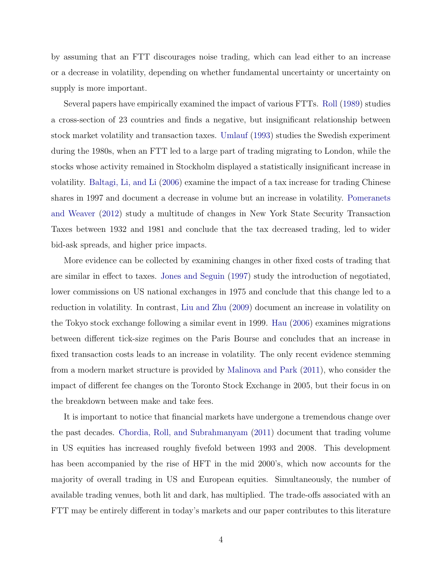<span id="page-4-0"></span>by assuming that an FTT discourages noise trading, which can lead either to an increase or a decrease in volatility, depending on whether fundamental uncertainty or uncertainty on supply is more important.

Several papers have empirically examined the impact of various FTTs. [Roll](#page-47-2) [\(1989\)](#page-47-2) studies a cross-section of 23 countries and finds a negative, but insignificant relationship between stock market volatility and transaction taxes. [Umlauf](#page-48-5) [\(1993\)](#page-48-5) studies the Swedish experiment during the 1980s, when an FTT led to a large part of trading migrating to London, while the stocks whose activity remained in Stockholm displayed a statistically insignificant increase in volatility. [Baltagi, Li, and Li](#page-46-0) [\(2006\)](#page-46-0) examine the impact of a tax increase for trading Chinese shares in 1997 and document a decrease in volume but an increase in volatility. [Pomeranets](#page-47-3) [and Weaver](#page-47-3) [\(2012\)](#page-47-3) study a multitude of changes in New York State Security Transaction Taxes between 1932 and 1981 and conclude that the tax decreased trading, led to wider bid-ask spreads, and higher price impacts.

More evidence can be collected by examining changes in other fixed costs of trading that are similar in effect to taxes. [Jones and Seguin](#page-47-4) [\(1997\)](#page-47-4) study the introduction of negotiated, lower commissions on US national exchanges in 1975 and conclude that this change led to a reduction in volatility. In contrast, [Liu and Zhu](#page-47-5) [\(2009\)](#page-47-5) document an increase in volatility on the Tokyo stock exchange following a similar event in 1999. [Hau](#page-46-1) [\(2006\)](#page-46-1) examines migrations between different tick-size regimes on the Paris Bourse and concludes that an increase in fixed transaction costs leads to an increase in volatility. The only recent evidence stemming from a modern market structure is provided by [Malinova and Park](#page-47-6) [\(2011\)](#page-47-6), who consider the impact of different fee changes on the Toronto Stock Exchange in 2005, but their focus in on the breakdown between make and take fees.

It is important to notice that financial markets have undergone a tremendous change over the past decades. [Chordia, Roll, and Subrahmanyam](#page-46-2) [\(2011\)](#page-46-2) document that trading volume in US equities has increased roughly fivefold between 1993 and 2008. This development has been accompanied by the rise of HFT in the mid 2000's, which now accounts for the majority of overall trading in US and European equities. Simultaneously, the number of available trading venues, both lit and dark, has multiplied. The trade-offs associated with an FTT may be entirely different in today's markets and our paper contributes to this literature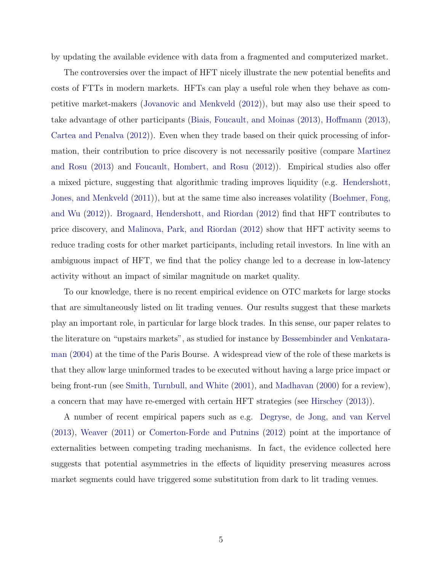<span id="page-5-0"></span>by updating the available evidence with data from a fragmented and computerized market.

The controversies over the impact of HFT nicely illustrate the new potential benefits and costs of FTTs in modern markets. HFTs can play a useful role when they behave as competitive market-makers [\(Jovanovic and Menkveld](#page-47-7) [\(2012\)](#page-47-7)), but may also use their speed to take advantage of other participants [\(Biais, Foucault, and Moinas](#page-46-3) [\(2013\)](#page-46-3), [Hoffmann](#page-46-4) [\(2013\)](#page-46-4), [Cartea and Penalva](#page-46-5) [\(2012\)](#page-46-5)). Even when they trade based on their quick processing of information, their contribution to price discovery is not necessarily positive (compare [Martinez](#page-47-8) [and Rosu](#page-47-8) [\(2013\)](#page-47-8) and [Foucault, Hombert, and Rosu](#page-46-6) [\(2012\)](#page-46-6)). Empirical studies also offer a mixed picture, suggesting that algorithmic trading improves liquidity (e.g. [Hendershott,](#page-46-7) [Jones, and Menkveld](#page-46-7) [\(2011\)](#page-46-7)), but at the same time also increases volatility [\(Boehmer, Fong,](#page-46-8) [and Wu](#page-46-8) [\(2012\)](#page-46-8)). [Brogaard, Hendershott, and Riordan](#page-46-9) [\(2012\)](#page-46-9) find that HFT contributes to price discovery, and [Malinova, Park, and Riordan](#page-47-9) [\(2012\)](#page-47-9) show that HFT activity seems to reduce trading costs for other market participants, including retail investors. In line with an ambiguous impact of HFT, we find that the policy change led to a decrease in low-latency activity without an impact of similar magnitude on market quality.

To our knowledge, there is no recent empirical evidence on OTC markets for large stocks that are simultaneously listed on lit trading venues. Our results suggest that these markets play an important role, in particular for large block trades. In this sense, our paper relates to the literature on "upstairs markets", as studied for instance by [Bessembinder and Venkatara](#page-46-10)[man](#page-46-10) [\(2004\)](#page-46-10) at the time of the Paris Bourse. A widespread view of the role of these markets is that they allow large uninformed trades to be executed without having a large price impact or being front-run (see [Smith, Turnbull, and White](#page-48-6) [\(2001\)](#page-48-6), and [Madhavan](#page-47-10) [\(2000\)](#page-47-10) for a review), a concern that may have re-emerged with certain HFT strategies (see [Hirschey](#page-46-11) [\(2013\)](#page-46-11)).

A number of recent empirical papers such as e.g. [Degryse, de Jong, and van Kervel](#page-46-12) [\(2013\)](#page-46-12), [Weaver](#page-48-7) [\(2011\)](#page-48-7) or [Comerton-Forde and Putnins](#page-46-13) [\(2012\)](#page-46-13) point at the importance of externalities between competing trading mechanisms. In fact, the evidence collected here suggests that potential asymmetries in the effects of liquidity preserving measures across market segments could have triggered some substitution from dark to lit trading venues.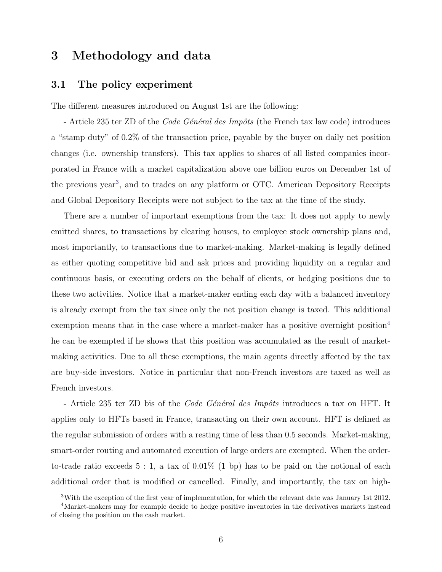# <span id="page-6-0"></span>3 Methodology and data

#### 3.1 The policy experiment

The different measures introduced on August 1st are the following:

- Article 235 ter ZD of the *Code Général des Impôts* (the French tax law code) introduces a "stamp duty" of 0.2% of the transaction price, payable by the buyer on daily net position changes (i.e. ownership transfers). This tax applies to shares of all listed companies incorporated in France with a market capitalization above one billion euros on December 1st of the previous year<sup>[3](#page-6-1)</sup>, and to trades on any platform or OTC. American Depository Receipts and Global Depository Receipts were not subject to the tax at the time of the study.

There are a number of important exemptions from the tax: It does not apply to newly emitted shares, to transactions by clearing houses, to employee stock ownership plans and, most importantly, to transactions due to market-making. Market-making is legally defined as either quoting competitive bid and ask prices and providing liquidity on a regular and continuous basis, or executing orders on the behalf of clients, or hedging positions due to these two activities. Notice that a market-maker ending each day with a balanced inventory is already exempt from the tax since only the net position change is taxed. This additional exemption means that in the case where a market-maker has a positive overnight position<sup>[4](#page-6-2)</sup> he can be exempted if he shows that this position was accumulated as the result of marketmaking activities. Due to all these exemptions, the main agents directly affected by the tax are buy-side investors. Notice in particular that non-French investors are taxed as well as French investors.

- Article 235 ter ZD bis of the *Code Général des Impôts* introduces a tax on HFT. It applies only to HFTs based in France, transacting on their own account. HFT is defined as the regular submission of orders with a resting time of less than 0.5 seconds. Market-making, smart-order routing and automated execution of large orders are exempted. When the orderto-trade ratio exceeds  $5:1$ , a tax of  $0.01\%$  (1 bp) has to be paid on the notional of each additional order that is modified or cancelled. Finally, and importantly, the tax on high-

<span id="page-6-2"></span><span id="page-6-1"></span><sup>3</sup>With the exception of the first year of implementation, for which the relevant date was January 1st 2012.

<sup>4</sup>Market-makers may for example decide to hedge positive inventories in the derivatives markets instead of closing the position on the cash market.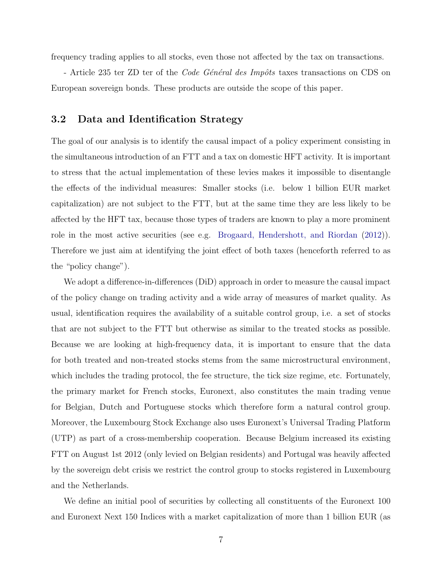<span id="page-7-1"></span>frequency trading applies to all stocks, even those not affected by the tax on transactions.

- Article 235 ter ZD ter of the *Code Général des Impôts* taxes transactions on CDS on European sovereign bonds. These products are outside the scope of this paper.

#### <span id="page-7-0"></span>3.2 Data and Identification Strategy

The goal of our analysis is to identify the causal impact of a policy experiment consisting in the simultaneous introduction of an FTT and a tax on domestic HFT activity. It is important to stress that the actual implementation of these levies makes it impossible to disentangle the effects of the individual measures: Smaller stocks (i.e. below 1 billion EUR market capitalization) are not subject to the FTT, but at the same time they are less likely to be affected by the HFT tax, because those types of traders are known to play a more prominent role in the most active securities (see e.g. [Brogaard, Hendershott, and Riordan](#page-46-9) [\(2012\)](#page-46-9)). Therefore we just aim at identifying the joint effect of both taxes (henceforth referred to as the "policy change").

We adopt a difference-in-differences (DiD) approach in order to measure the causal impact of the policy change on trading activity and a wide array of measures of market quality. As usual, identification requires the availability of a suitable control group, i.e. a set of stocks that are not subject to the FTT but otherwise as similar to the treated stocks as possible. Because we are looking at high-frequency data, it is important to ensure that the data for both treated and non-treated stocks stems from the same microstructural environment, which includes the trading protocol, the fee structure, the tick size regime, etc. Fortunately, the primary market for French stocks, Euronext, also constitutes the main trading venue for Belgian, Dutch and Portuguese stocks which therefore form a natural control group. Moreover, the Luxembourg Stock Exchange also uses Euronext's Universal Trading Platform (UTP) as part of a cross-membership cooperation. Because Belgium increased its existing FTT on August 1st 2012 (only levied on Belgian residents) and Portugal was heavily affected by the sovereign debt crisis we restrict the control group to stocks registered in Luxembourg and the Netherlands.

We define an initial pool of securities by collecting all constituents of the Euronext 100 and Euronext Next 150 Indices with a market capitalization of more than 1 billion EUR (as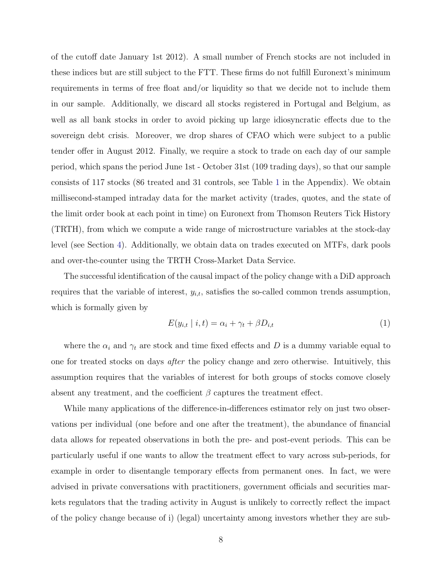of the cutoff date January 1st 2012). A small number of French stocks are not included in these indices but are still subject to the FTT. These firms do not fulfill Euronext's minimum requirements in terms of free float and/or liquidity so that we decide not to include them in our sample. Additionally, we discard all stocks registered in Portugal and Belgium, as well as all bank stocks in order to avoid picking up large idiosyncratic effects due to the sovereign debt crisis. Moreover, we drop shares of CFAO which were subject to a public tender offer in August 2012. Finally, we require a stock to trade on each day of our sample period, which spans the period June 1st - October 31st (109 trading days), so that our sample consists of 117 stocks (86 treated and 31 controls, see Table [1](#page-30-0) in the Appendix). We obtain millisecond-stamped intraday data for the market activity (trades, quotes, and the state of the limit order book at each point in time) on Euronext from Thomson Reuters Tick History (TRTH), from which we compute a wide range of microstructure variables at the stock-day level (see Section [4\)](#page-9-0). Additionally, we obtain data on trades executed on MTFs, dark pools and over-the-counter using the TRTH Cross-Market Data Service.

The successful identification of the causal impact of the policy change with a DiD approach requires that the variable of interest,  $y_{i,t}$ , satisfies the so-called common trends assumption, which is formally given by

$$
E(y_{i,t} | i, t) = \alpha_i + \gamma_t + \beta D_{i,t}
$$
\n<sup>(1)</sup>

where the  $\alpha_i$  and  $\gamma_t$  are stock and time fixed effects and D is a dummy variable equal to one for treated stocks on days *after* the policy change and zero otherwise. Intuitively, this assumption requires that the variables of interest for both groups of stocks comove closely absent any treatment, and the coefficient  $\beta$  captures the treatment effect.

While many applications of the difference-in-differences estimator rely on just two observations per individual (one before and one after the treatment), the abundance of financial data allows for repeated observations in both the pre- and post-event periods. This can be particularly useful if one wants to allow the treatment effect to vary across sub-periods, for example in order to disentangle temporary effects from permanent ones. In fact, we were advised in private conversations with practitioners, government officials and securities markets regulators that the trading activity in August is unlikely to correctly reflect the impact of the policy change because of i) (legal) uncertainty among investors whether they are sub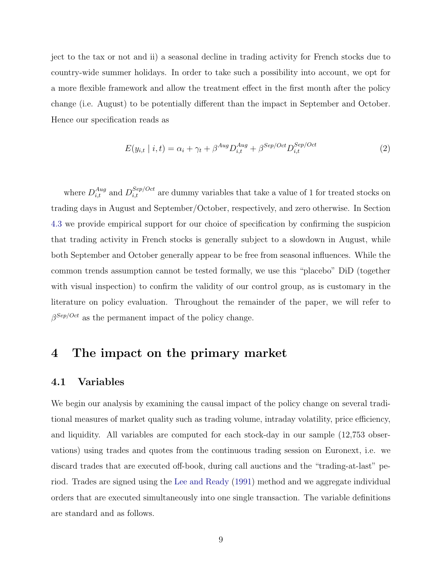<span id="page-9-3"></span>ject to the tax or not and ii) a seasonal decline in trading activity for French stocks due to country-wide summer holidays. In order to take such a possibility into account, we opt for a more flexible framework and allow the treatment effect in the first month after the policy change (i.e. August) to be potentially different than the impact in September and October. Hence our specification reads as

<span id="page-9-1"></span>
$$
E(y_{i,t} \mid i,t) = \alpha_i + \gamma_t + \beta^{Aug} D_{i,t}^{Aug} + \beta^{Sep/Oct} D_{i,t}^{Sep/Oct}
$$
\n(2)

where  $D_{i,t}^{Aug}$  and  $D_{i,t}^{Sep/Oct}$  are dummy variables that take a value of 1 for treated stocks on trading days in August and September/October, respectively, and zero otherwise. In Section [4.3](#page-13-0) we provide empirical support for our choice of specification by confirming the suspicion that trading activity in French stocks is generally subject to a slowdown in August, while both September and October generally appear to be free from seasonal influences. While the common trends assumption cannot be tested formally, we use this "placebo" DiD (together with visual inspection) to confirm the validity of our control group, as is customary in the literature on policy evaluation. Throughout the remainder of the paper, we will refer to  $\beta^{Sep/Oct}$  as the permanent impact of the policy change.

## <span id="page-9-0"></span>4 The impact on the primary market

#### <span id="page-9-2"></span>4.1 Variables

We begin our analysis by examining the causal impact of the policy change on several traditional measures of market quality such as trading volume, intraday volatility, price efficiency, and liquidity. All variables are computed for each stock-day in our sample (12,753 observations) using trades and quotes from the continuous trading session on Euronext, i.e. we discard trades that are executed off-book, during call auctions and the "trading-at-last" period. Trades are signed using the [Lee and Ready](#page-47-11) [\(1991\)](#page-47-11) method and we aggregate individual orders that are executed simultaneously into one single transaction. The variable definitions are standard and as follows.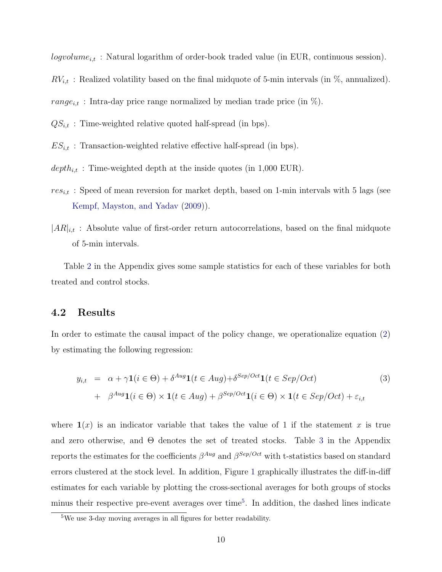<span id="page-10-2"></span> $logvolume_{i,t}$ : Natural logarithm of order-book traded value (in EUR, continuous session).

 $RV_{i,t}$ : Realized volatility based on the final midquote of 5-min intervals (in %, annualized).

range<sub>i,t</sub> : Intra-day price range normalized by median trade price (in  $\%$ ).

- $QS_{i,t}$ : Time-weighted relative quoted half-spread (in bps).
- $ES_{i,t}$ : Transaction-weighted relative effective half-spread (in bps).
- $depth_{i,t}$ : Time-weighted depth at the inside quotes (in 1,000 EUR).
- $res_{i,t}$ : Speed of mean reversion for market depth, based on 1-min intervals with 5 lags (see [Kempf, Mayston, and Yadav](#page-47-12) [\(2009\)](#page-47-12)).
- $|AR|_{i,t}$ : Absolute value of first-order return autocorrelations, based on the final midquote of 5-min intervals.

Table [2](#page-31-0) in the Appendix gives some sample statistics for each of these variables for both treated and control stocks.

#### 4.2 Results

In order to estimate the causal impact of the policy change, we operationalize equation [\(2\)](#page-9-1) by estimating the following regression:

<span id="page-10-1"></span>
$$
y_{i,t} = \alpha + \gamma \mathbf{1}(i \in \Theta) + \delta^{Aug} \mathbf{1}(t \in Aug) + \delta^{Sep/Oct} \mathbf{1}(t \in Sep/Oct)
$$
\n
$$
+ \beta^{Aug} \mathbf{1}(i \in \Theta) \times \mathbf{1}(t \in Aug) + \beta^{Sep/Oct} \mathbf{1}(i \in \Theta) \times \mathbf{1}(t \in Sep/Oct) + \varepsilon_{i,t}
$$
\n
$$
(3)
$$

where  $\mathbf{1}(x)$  is an indicator variable that takes the value of 1 if the statement x is true and zero otherwise, and  $\Theta$  denotes the set of treated stocks. Table [3](#page-31-1) in the Appendix reports the estimates for the coefficients  $\beta^{Aug}$  and  $\beta^{Sep/Oct}$  with t-statistics based on standard errors clustered at the stock level. In addition, Figure [1](#page-41-0) graphically illustrates the diff-in-diff estimates for each variable by plotting the cross-sectional averages for both groups of stocks minus their respective pre-event averages over time<sup>[5](#page-10-0)</sup>. In addition, the dashed lines indicate

<span id="page-10-0"></span><sup>5</sup>We use 3-day moving averages in all figures for better readability.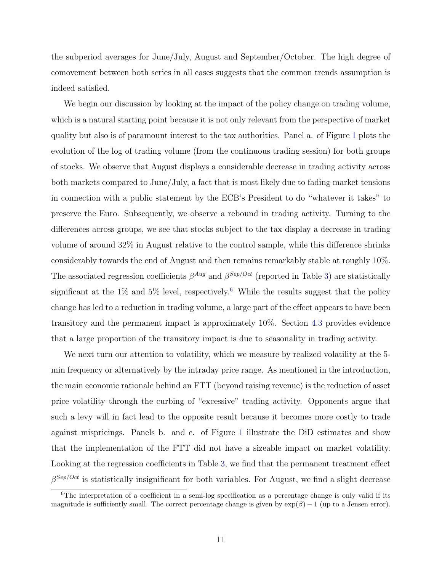the subperiod averages for June/July, August and September/October. The high degree of comovement between both series in all cases suggests that the common trends assumption is indeed satisfied.

We begin our discussion by looking at the impact of the policy change on trading volume, which is a natural starting point because it is not only relevant from the perspective of market quality but also is of paramount interest to the tax authorities. Panel a. of Figure [1](#page-41-0) plots the evolution of the log of trading volume (from the continuous trading session) for both groups of stocks. We observe that August displays a considerable decrease in trading activity across both markets compared to June/July, a fact that is most likely due to fading market tensions in connection with a public statement by the ECB's President to do "whatever it takes" to preserve the Euro. Subsequently, we observe a rebound in trading activity. Turning to the differences across groups, we see that stocks subject to the tax display a decrease in trading volume of around 32% in August relative to the control sample, while this difference shrinks considerably towards the end of August and then remains remarkably stable at roughly 10%. The associated regression coefficients  $\beta^{Aug}$  and  $\beta^{Sep/Oct}$  (reported in Table [3\)](#page-31-1) are statistically significant at the  $1\%$  and  $5\%$  level, respectively.<sup>[6](#page-11-0)</sup> While the results suggest that the policy change has led to a reduction in trading volume, a large part of the effect appears to have been transitory and the permanent impact is approximately 10%. Section [4.3](#page-13-0) provides evidence that a large proportion of the transitory impact is due to seasonality in trading activity.

We next turn our attention to volatility, which we measure by realized volatility at the 5min frequency or alternatively by the intraday price range. As mentioned in the introduction, the main economic rationale behind an FTT (beyond raising revenue) is the reduction of asset price volatility through the curbing of "excessive" trading activity. Opponents argue that such a levy will in fact lead to the opposite result because it becomes more costly to trade against mispricings. Panels b. and c. of Figure [1](#page-41-0) illustrate the DiD estimates and show that the implementation of the FTT did not have a sizeable impact on market volatility. Looking at the regression coefficients in Table [3,](#page-31-1) we find that the permanent treatment effect  $\beta^{Sep/Oct}$  is statistically insignificant for both variables. For August, we find a slight decrease

<span id="page-11-0"></span> $6$ The interpretation of a coefficient in a semi-log specification as a percentage change is only valid if its magnitude is sufficiently small. The correct percentage change is given by  $\exp(\beta) - 1$  (up to a Jensen error).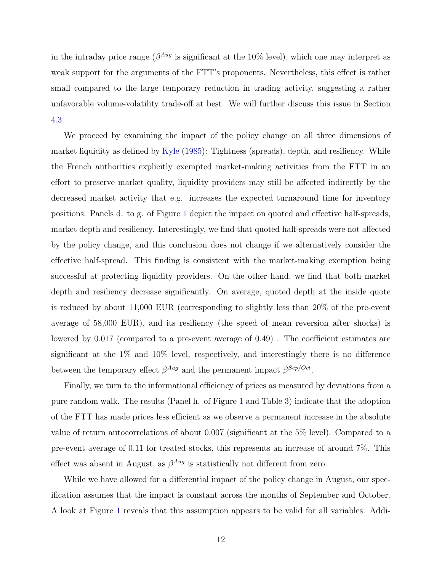<span id="page-12-0"></span>in the intraday price range ( $\beta^{Aug}$  is significant at the 10% level), which one may interpret as weak support for the arguments of the FTT's proponents. Nevertheless, this effect is rather small compared to the large temporary reduction in trading activity, suggesting a rather unfavorable volume-volatility trade-off at best. We will further discuss this issue in Section [4.3.](#page-13-0)

We proceed by examining the impact of the policy change on all three dimensions of market liquidity as defined by [Kyle](#page-47-13) [\(1985\)](#page-47-13): Tightness (spreads), depth, and resiliency. While the French authorities explicitly exempted market-making activities from the FTT in an effort to preserve market quality, liquidity providers may still be affected indirectly by the decreased market activity that e.g. increases the expected turnaround time for inventory positions. Panels d. to g. of Figure [1](#page-41-0) depict the impact on quoted and effective half-spreads, market depth and resiliency. Interestingly, we find that quoted half-spreads were not affected by the policy change, and this conclusion does not change if we alternatively consider the effective half-spread. This finding is consistent with the market-making exemption being successful at protecting liquidity providers. On the other hand, we find that both market depth and resiliency decrease significantly. On average, quoted depth at the inside quote is reduced by about 11,000 EUR (corresponding to slightly less than 20% of the pre-event average of 58,000 EUR), and its resiliency (the speed of mean reversion after shocks) is lowered by 0.017 (compared to a pre-event average of 0.49) . The coefficient estimates are significant at the  $1\%$  and  $10\%$  level, respectively, and interestingly there is no difference between the temporary effect  $\beta^{Aug}$  and the permanent impact  $\beta^{Sep/Oct}$ .

Finally, we turn to the informational efficiency of prices as measured by deviations from a pure random walk. The results (Panel h. of Figure [1](#page-41-0) and Table [3\)](#page-31-1) indicate that the adoption of the FTT has made prices less efficient as we observe a permanent increase in the absolute value of return autocorrelations of about 0.007 (significant at the 5% level). Compared to a pre-event average of 0.11 for treated stocks, this represents an increase of around 7%. This effect was absent in August, as  $\beta^{Aug}$  is statistically not different from zero.

While we have allowed for a differential impact of the policy change in August, our specification assumes that the impact is constant across the months of September and October. A look at Figure [1](#page-41-0) reveals that this assumption appears to be valid for all variables. Addi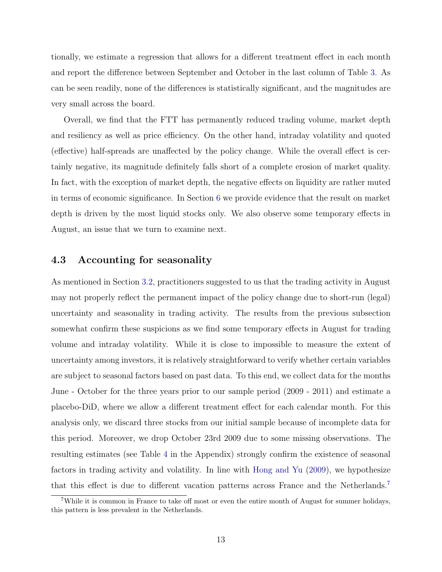<span id="page-13-2"></span>tionally, we estimate a regression that allows for a different treatment effect in each month and report the difference between September and October in the last column of Table [3.](#page-31-1) As can be seen readily, none of the differences is statistically significant, and the magnitudes are very small across the board.

Overall, we find that the FTT has permanently reduced trading volume, market depth and resiliency as well as price efficiency. On the other hand, intraday volatility and quoted (effective) half-spreads are unaffected by the policy change. While the overall effect is certainly negative, its magnitude definitely falls short of a complete erosion of market quality. In fact, with the exception of market depth, the negative effects on liquidity are rather muted in terms of economic significance. In Section [6](#page-27-0) we provide evidence that the result on market depth is driven by the most liquid stocks only. We also observe some temporary effects in August, an issue that we turn to examine next.

#### <span id="page-13-0"></span>4.3 Accounting for seasonality

As mentioned in Section [3.2,](#page-7-0) practitioners suggested to us that the trading activity in August may not properly reflect the permanent impact of the policy change due to short-run (legal) uncertainty and seasonality in trading activity. The results from the previous subsection somewhat confirm these suspicions as we find some temporary effects in August for trading volume and intraday volatility. While it is close to impossible to measure the extent of uncertainty among investors, it is relatively straightforward to verify whether certain variables are subject to seasonal factors based on past data. To this end, we collect data for the months June - October for the three years prior to our sample period (2009 - 2011) and estimate a placebo-DiD, where we allow a different treatment effect for each calendar month. For this analysis only, we discard three stocks from our initial sample because of incomplete data for this period. Moreover, we drop October 23rd 2009 due to some missing observations. The resulting estimates (see Table [4](#page-32-0) in the Appendix) strongly confirm the existence of seasonal factors in trading activity and volatility. In line with [Hong and Yu](#page-47-14) [\(2009\)](#page-47-14), we hypothesize that this effect is due to different vacation patterns across France and the Netherlands.[7](#page-13-1)

<span id="page-13-1"></span><sup>7</sup>While it is common in France to take off most or even the entire month of August for summer holidays, this pattern is less prevalent in the Netherlands.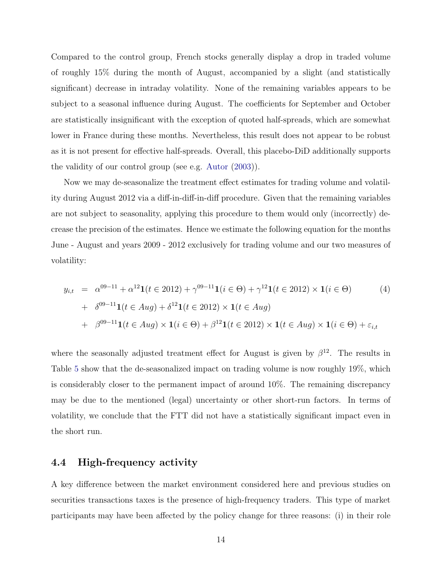<span id="page-14-2"></span>Compared to the control group, French stocks generally display a drop in traded volume of roughly 15% during the month of August, accompanied by a slight (and statistically significant) decrease in intraday volatility. None of the remaining variables appears to be subject to a seasonal influence during August. The coefficients for September and October are statistically insignificant with the exception of quoted half-spreads, which are somewhat lower in France during these months. Nevertheless, this result does not appear to be robust as it is not present for effective half-spreads. Overall, this placebo-DiD additionally supports the validity of our control group (see e.g. [Autor](#page-46-14) [\(2003\)](#page-46-14)).

Now we may de-seasonalize the treatment effect estimates for trading volume and volatility during August 2012 via a diff-in-diff-in-diff procedure. Given that the remaining variables are not subject to seasonality, applying this procedure to them would only (incorrectly) decrease the precision of the estimates. Hence we estimate the following equation for the months June - August and years 2009 - 2012 exclusively for trading volume and our two measures of volatility:

<span id="page-14-1"></span>
$$
y_{i,t} = \alpha^{09-11} + \alpha^{12} \mathbf{1}(t \in 2012) + \gamma^{09-11} \mathbf{1}(i \in \Theta) + \gamma^{12} \mathbf{1}(t \in 2012) \times \mathbf{1}(i \in \Theta)
$$
(4)  
+  $\delta^{09-11} \mathbf{1}(t \in Aug) + \delta^{12} \mathbf{1}(t \in 2012) \times \mathbf{1}(t \in Aug)$   
+  $\beta^{09-11} \mathbf{1}(t \in Aug) \times \mathbf{1}(i \in \Theta) + \beta^{12} \mathbf{1}(t \in 2012) \times \mathbf{1}(t \in Aug) \times \mathbf{1}(i \in \Theta) + \varepsilon_{i,t}$ 

where the seasonally adjusted treatment effect for August is given by  $\beta^{12}$ . The results in Table [5](#page-32-1) show that the de-seasonalized impact on trading volume is now roughly 19%, which is considerably closer to the permanent impact of around 10%. The remaining discrepancy may be due to the mentioned (legal) uncertainty or other short-run factors. In terms of volatility, we conclude that the FTT did not have a statistically significant impact even in the short run.

#### <span id="page-14-0"></span>4.4 High-frequency activity

A key difference between the market environment considered here and previous studies on securities transactions taxes is the presence of high-frequency traders. This type of market participants may have been affected by the policy change for three reasons: (i) in their role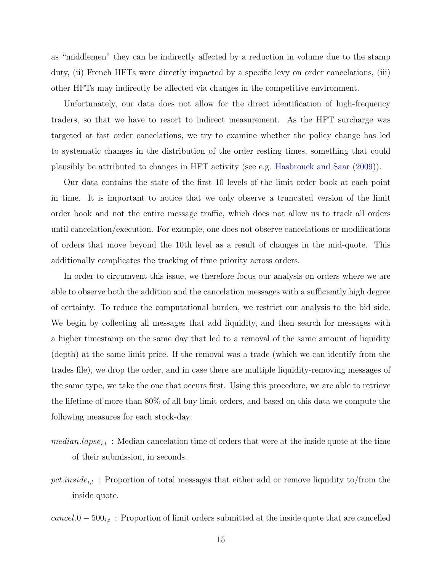<span id="page-15-0"></span>as "middlemen" they can be indirectly affected by a reduction in volume due to the stamp duty, (ii) French HFTs were directly impacted by a specific levy on order cancelations, (iii) other HFTs may indirectly be affected via changes in the competitive environment.

Unfortunately, our data does not allow for the direct identification of high-frequency traders, so that we have to resort to indirect measurement. As the HFT surcharge was targeted at fast order cancelations, we try to examine whether the policy change has led to systematic changes in the distribution of the order resting times, something that could plausibly be attributed to changes in HFT activity (see e.g. [Hasbrouck and Saar](#page-46-15) [\(2009\)](#page-46-15)).

Our data contains the state of the first 10 levels of the limit order book at each point in time. It is important to notice that we only observe a truncated version of the limit order book and not the entire message traffic, which does not allow us to track all orders until cancelation/execution. For example, one does not observe cancelations or modifications of orders that move beyond the 10th level as a result of changes in the mid-quote. This additionally complicates the tracking of time priority across orders.

In order to circumvent this issue, we therefore focus our analysis on orders where we are able to observe both the addition and the cancelation messages with a sufficiently high degree of certainty. To reduce the computational burden, we restrict our analysis to the bid side. We begin by collecting all messages that add liquidity, and then search for messages with a higher timestamp on the same day that led to a removal of the same amount of liquidity (depth) at the same limit price. If the removal was a trade (which we can identify from the trades file), we drop the order, and in case there are multiple liquidity-removing messages of the same type, we take the one that occurs first. Using this procedure, we are able to retrieve the lifetime of more than 80% of all buy limit orders, and based on this data we compute the following measures for each stock-day:

- $median.langse_{i,t}$ : Median cancelation time of orders that were at the inside quote at the time of their submission, in seconds.
- pct.inside<sub>it</sub>: Proportion of total messages that either add or remove liquidity to/from the inside quote.

 $cancel.0 - 500_{i,t}$ : Proportion of limit orders submitted at the inside quote that are cancelled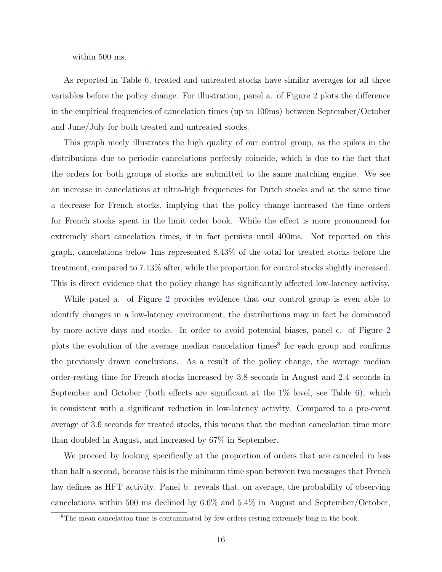within 500 ms.

As reported in Table [6,](#page-33-0) treated and untreated stocks have similar averages for all three variables before the policy change. For illustration, panel a. of Figure [2](#page-43-0) plots the difference in the empirical frequencies of cancelation times (up to 100ms) between September/October and June/July for both treated and untreated stocks.

This graph nicely illustrates the high quality of our control group, as the spikes in the distributions due to periodic cancelations perfectly coincide, which is due to the fact that the orders for both groups of stocks are submitted to the same matching engine. We see an increase in cancelations at ultra-high frequencies for Dutch stocks and at the same time a decrease for French stocks, implying that the policy change increased the time orders for French stocks spent in the limit order book. While the effect is more pronounced for extremely short cancelation times, it in fact persists until 400ms. Not reported on this graph, cancelations below 1ms represented 8.43% of the total for treated stocks before the treatment, compared to 7.13% after, while the proportion for control stocks slightly increased. This is direct evidence that the policy change has significantly affected low-latency activity.

While panel a. of Figure [2](#page-43-0) provides evidence that our control group is even able to identify changes in a low-latency environment, the distributions may in fact be dominated by more active days and stocks. In order to avoid potential biases, panel c. of Figure [2](#page-43-0) plots the evolution of the average median cancelation times<sup>[8](#page-16-0)</sup> for each group and confirms the previously drawn conclusions. As a result of the policy change, the average median order-resting time for French stocks increased by 3.8 seconds in August and 2.4 seconds in September and October (both effects are significant at the 1% level, see Table [6\)](#page-33-0), which is consistent with a significant reduction in low-latency activity. Compared to a pre-event average of 3.6 seconds for treated stocks, this means that the median cancelation time more than doubled in August, and increased by 67% in September.

We proceed by looking specifically at the proportion of orders that are canceled in less than half a second, because this is the minimum time span between two messages that French law defines as HFT activity. Panel b. reveals that, on average, the probability of observing cancelations within 500 ms declined by 6.6% and 5.4% in August and September/October,

<span id="page-16-0"></span><sup>8</sup>The mean cancelation time is contaminated by few orders resting extremely long in the book.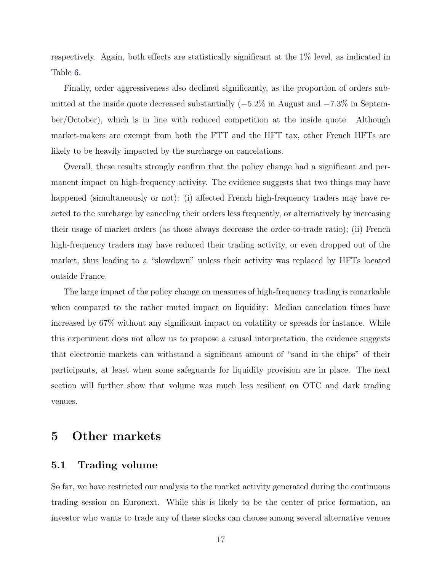respectively. Again, both effects are statistically significant at the 1% level, as indicated in Table [6.](#page-33-0)

Finally, order aggressiveness also declined significantly, as the proportion of orders submitted at the inside quote decreased substantially  $(-5.2\%$  in August and  $-7.3\%$  in September/October), which is in line with reduced competition at the inside quote. Although market-makers are exempt from both the FTT and the HFT tax, other French HFTs are likely to be heavily impacted by the surcharge on cancelations.

Overall, these results strongly confirm that the policy change had a significant and permanent impact on high-frequency activity. The evidence suggests that two things may have happened (simultaneously or not): (i) affected French high-frequency traders may have reacted to the surcharge by canceling their orders less frequently, or alternatively by increasing their usage of market orders (as those always decrease the order-to-trade ratio); (ii) French high-frequency traders may have reduced their trading activity, or even dropped out of the market, thus leading to a "slowdown" unless their activity was replaced by HFTs located outside France.

The large impact of the policy change on measures of high-frequency trading is remarkable when compared to the rather muted impact on liquidity: Median cancelation times have increased by 67% without any significant impact on volatility or spreads for instance. While this experiment does not allow us to propose a causal interpretation, the evidence suggests that electronic markets can withstand a significant amount of "sand in the chips" of their participants, at least when some safeguards for liquidity provision are in place. The next section will further show that volume was much less resilient on OTC and dark trading venues.

# <span id="page-17-0"></span>5 Other markets

#### 5.1 Trading volume

So far, we have restricted our analysis to the market activity generated during the continuous trading session on Euronext. While this is likely to be the center of price formation, an investor who wants to trade any of these stocks can choose among several alternative venues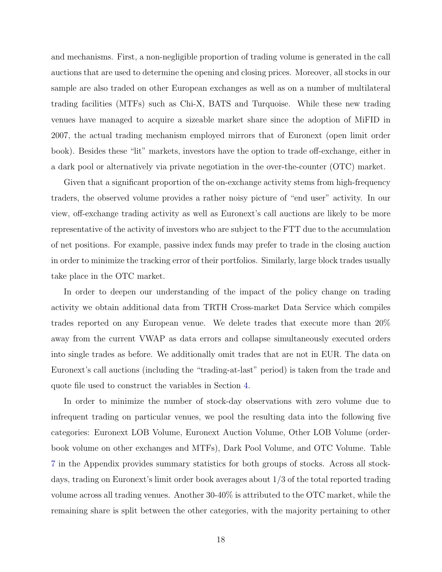and mechanisms. First, a non-negligible proportion of trading volume is generated in the call auctions that are used to determine the opening and closing prices. Moreover, all stocks in our sample are also traded on other European exchanges as well as on a number of multilateral trading facilities (MTFs) such as Chi-X, BATS and Turquoise. While these new trading venues have managed to acquire a sizeable market share since the adoption of MiFID in 2007, the actual trading mechanism employed mirrors that of Euronext (open limit order book). Besides these "lit" markets, investors have the option to trade off-exchange, either in a dark pool or alternatively via private negotiation in the over-the-counter (OTC) market.

Given that a significant proportion of the on-exchange activity stems from high-frequency traders, the observed volume provides a rather noisy picture of "end user" activity. In our view, off-exchange trading activity as well as Euronext's call auctions are likely to be more representative of the activity of investors who are subject to the FTT due to the accumulation of net positions. For example, passive index funds may prefer to trade in the closing auction in order to minimize the tracking error of their portfolios. Similarly, large block trades usually take place in the OTC market.

In order to deepen our understanding of the impact of the policy change on trading activity we obtain additional data from TRTH Cross-market Data Service which compiles trades reported on any European venue. We delete trades that execute more than 20% away from the current VWAP as data errors and collapse simultaneously executed orders into single trades as before. We additionally omit trades that are not in EUR. The data on Euronext's call auctions (including the "trading-at-last" period) is taken from the trade and quote file used to construct the variables in Section [4.](#page-9-0)

In order to minimize the number of stock-day observations with zero volume due to infrequent trading on particular venues, we pool the resulting data into the following five categories: Euronext LOB Volume, Euronext Auction Volume, Other LOB Volume (orderbook volume on other exchanges and MTFs), Dark Pool Volume, and OTC Volume. Table [7](#page-34-0) in the Appendix provides summary statistics for both groups of stocks. Across all stockdays, trading on Euronext's limit order book averages about 1/3 of the total reported trading volume across all trading venues. Another 30-40% is attributed to the OTC market, while the remaining share is split between the other categories, with the majority pertaining to other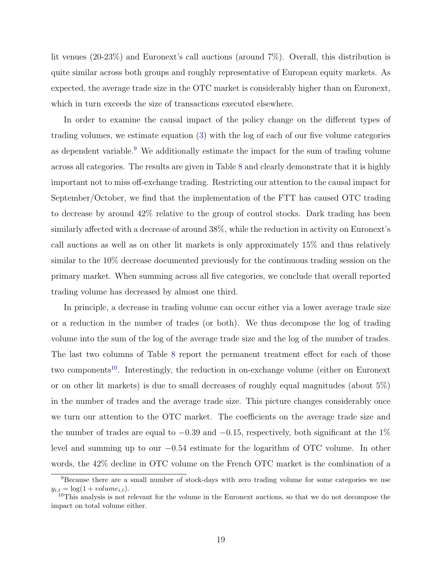lit venues (20-23%) and Euronext's call auctions (around 7%). Overall, this distribution is quite similar across both groups and roughly representative of European equity markets. As expected, the average trade size in the OTC market is considerably higher than on Euronext, which in turn exceeds the size of transactions executed elsewhere.

In order to examine the causal impact of the policy change on the different types of trading volumes, we estimate equation [\(3\)](#page-10-1) with the log of each of our five volume categories as dependent variable. $9$  We additionally estimate the impact for the sum of trading volume across all categories. The results are given in Table [8](#page-35-0) and clearly demonstrate that it is highly important not to miss off-exchange trading. Restricting our attention to the causal impact for September/October, we find that the implementation of the FTT has caused OTC trading to decrease by around 42% relative to the group of control stocks. Dark trading has been similarly affected with a decrease of around 38%, while the reduction in activity on Euronext's call auctions as well as on other lit markets is only approximately 15% and thus relatively similar to the 10% decrease documented previously for the continuous trading session on the primary market. When summing across all five categories, we conclude that overall reported trading volume has decreased by almost one third.

In principle, a decrease in trading volume can occur either via a lower average trade size or a reduction in the number of trades (or both). We thus decompose the log of trading volume into the sum of the log of the average trade size and the log of the number of trades. The last two columns of Table [8](#page-35-0) report the permanent treatment effect for each of those two components<sup>[10](#page-19-1)</sup>. Interestingly, the reduction in on-exchange volume (either on Euronext or on other lit markets) is due to small decreases of roughly equal magnitudes (about 5%) in the number of trades and the average trade size. This picture changes considerably once we turn our attention to the OTC market. The coefficients on the average trade size and the number of trades are equal to  $-0.39$  and  $-0.15$ , respectively, both significant at the 1% level and summing up to our −0.54 estimate for the logarithm of OTC volume. In other words, the 42% decline in OTC volume on the French OTC market is the combination of a

<span id="page-19-0"></span><sup>&</sup>lt;sup>9</sup>Because there are a small number of stock-days with zero trading volume for some categories we use  $y_{i,t} = \log(1 + volume_{i,t}).$ 

<span id="page-19-1"></span><sup>&</sup>lt;sup>10</sup>This analysis is not relevant for the volume in the Euronext auctions, so that we do not decompose the impact on total volume either.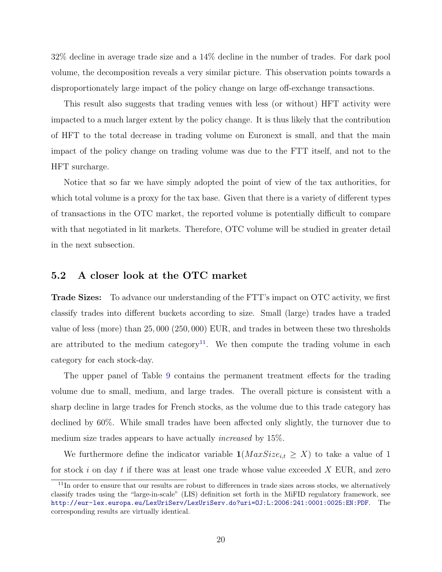32% decline in average trade size and a 14% decline in the number of trades. For dark pool volume, the decomposition reveals a very similar picture. This observation points towards a disproportionately large impact of the policy change on large off-exchange transactions.

This result also suggests that trading venues with less (or without) HFT activity were impacted to a much larger extent by the policy change. It is thus likely that the contribution of HFT to the total decrease in trading volume on Euronext is small, and that the main impact of the policy change on trading volume was due to the FTT itself, and not to the HFT surcharge.

Notice that so far we have simply adopted the point of view of the tax authorities, for which total volume is a proxy for the tax base. Given that there is a variety of different types of transactions in the OTC market, the reported volume is potentially difficult to compare with that negotiated in lit markets. Therefore, OTC volume will be studied in greater detail in the next subsection.

#### 5.2 A closer look at the OTC market

Trade Sizes: To advance our understanding of the FTT's impact on OTC activity, we first classify trades into different buckets according to size. Small (large) trades have a traded value of less (more) than 25, 000 (250, 000) EUR, and trades in between these two thresholds are attributed to the medium category<sup>[11](#page-20-0)</sup>. We then compute the trading volume in each category for each stock-day.

The upper panel of Table [9](#page-36-0) contains the permanent treatment effects for the trading volume due to small, medium, and large trades. The overall picture is consistent with a sharp decline in large trades for French stocks, as the volume due to this trade category has declined by 60%. While small trades have been affected only slightly, the turnover due to medium size trades appears to have actually increased by 15%.

We furthermore define the indicator variable  $1(MaxSize_{i,t} \geq X)$  to take a value of 1 for stock  $i$  on day  $t$  if there was at least one trade whose value exceeded  $X$  EUR, and zero

<span id="page-20-0"></span> $11$ In order to ensure that our results are robust to differences in trade sizes across stocks, we alternatively classify trades using the "large-in-scale" (LIS) definition set forth in the MiFID regulatory framework, see <http://eur-lex.europa.eu/LexUriServ/LexUriServ.do?uri=OJ:L:2006:241:0001:0025:EN:PDF>. The corresponding results are virtually identical.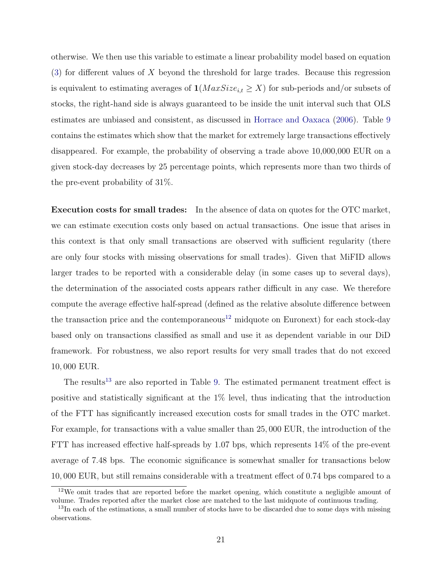<span id="page-21-2"></span>otherwise. We then use this variable to estimate a linear probability model based on equation  $(3)$  for different values of X beyond the threshold for large trades. Because this regression is equivalent to estimating averages of  $1(MaxSize_{i,t} \geq X)$  for sub-periods and/or subsets of stocks, the right-hand side is always guaranteed to be inside the unit interval such that OLS estimates are unbiased and consistent, as discussed in [Horrace and Oaxaca](#page-47-15) [\(2006\)](#page-47-15). Table [9](#page-36-0) contains the estimates which show that the market for extremely large transactions effectively disappeared. For example, the probability of observing a trade above 10,000,000 EUR on a given stock-day decreases by 25 percentage points, which represents more than two thirds of the pre-event probability of 31%.

Execution costs for small trades: In the absence of data on quotes for the OTC market, we can estimate execution costs only based on actual transactions. One issue that arises in this context is that only small transactions are observed with sufficient regularity (there are only four stocks with missing observations for small trades). Given that MiFID allows larger trades to be reported with a considerable delay (in some cases up to several days), the determination of the associated costs appears rather difficult in any case. We therefore compute the average effective half-spread (defined as the relative absolute difference between the transaction price and the contemporaneous<sup>[12](#page-21-0)</sup> midquote on Euronext) for each stock-day based only on transactions classified as small and use it as dependent variable in our DiD framework. For robustness, we also report results for very small trades that do not exceed 10, 000 EUR.

The results<sup>[13](#page-21-1)</sup> are also reported in Table [9.](#page-36-0) The estimated permanent treatment effect is positive and statistically significant at the 1% level, thus indicating that the introduction of the FTT has significantly increased execution costs for small trades in the OTC market. For example, for transactions with a value smaller than 25, 000 EUR, the introduction of the FTT has increased effective half-spreads by 1.07 bps, which represents 14% of the pre-event average of 7.48 bps. The economic significance is somewhat smaller for transactions below 10, 000 EUR, but still remains considerable with a treatment effect of 0.74 bps compared to a

<span id="page-21-0"></span><sup>12</sup>We omit trades that are reported before the market opening, which constitute a negligible amount of volume. Trades reported after the market close are matched to the last midquote of continuous trading.

<span id="page-21-1"></span><sup>&</sup>lt;sup>13</sup>In each of the estimations, a small number of stocks have to be discarded due to some days with missing observations.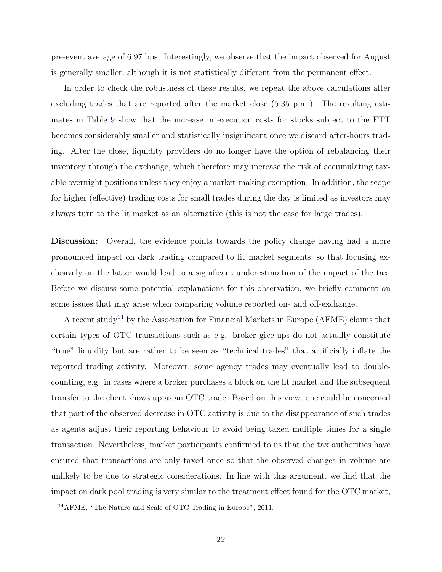pre-event average of 6.97 bps. Interestingly, we observe that the impact observed for August is generally smaller, although it is not statistically different from the permanent effect.

In order to check the robustness of these results, we repeat the above calculations after excluding trades that are reported after the market close (5:35 p.m.). The resulting estimates in Table [9](#page-36-0) show that the increase in execution costs for stocks subject to the FTT becomes considerably smaller and statistically insignificant once we discard after-hours trading. After the close, liquidity providers do no longer have the option of rebalancing their inventory through the exchange, which therefore may increase the risk of accumulating taxable overnight positions unless they enjoy a market-making exemption. In addition, the scope for higher (effective) trading costs for small trades during the day is limited as investors may always turn to the lit market as an alternative (this is not the case for large trades).

**Discussion:** Overall, the evidence points towards the policy change having had a more pronounced impact on dark trading compared to lit market segments, so that focusing exclusively on the latter would lead to a significant underestimation of the impact of the tax. Before we discuss some potential explanations for this observation, we briefly comment on some issues that may arise when comparing volume reported on- and off-exchange.

A recent study<sup>[14](#page-22-0)</sup> by the Association for Financial Markets in Europe (AFME) claims that certain types of OTC transactions such as e.g. broker give-ups do not actually constitute "true" liquidity but are rather to be seen as "technical trades" that artificially inflate the reported trading activity. Moreover, some agency trades may eventually lead to doublecounting, e.g. in cases where a broker purchases a block on the lit market and the subsequent transfer to the client shows up as an OTC trade. Based on this view, one could be concerned that part of the observed decrease in OTC activity is due to the disappearance of such trades as agents adjust their reporting behaviour to avoid being taxed multiple times for a single transaction. Nevertheless, market participants confirmed to us that the tax authorities have ensured that transactions are only taxed once so that the observed changes in volume are unlikely to be due to strategic considerations. In line with this argument, we find that the impact on dark pool trading is very similar to the treatment effect found for the OTC market,

<span id="page-22-0"></span><sup>14</sup>AFME, "The Nature and Scale of OTC Trading in Europe", 2011.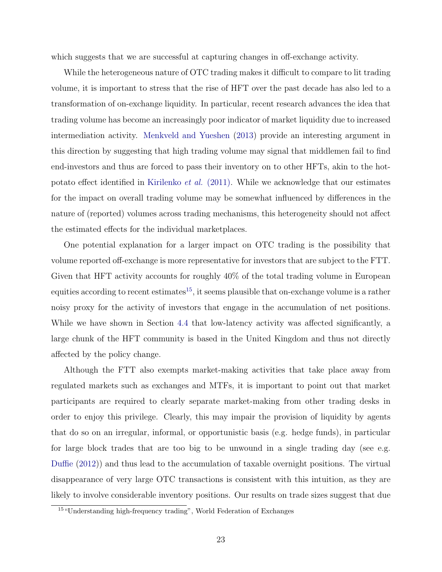<span id="page-23-1"></span>which suggests that we are successful at capturing changes in off-exchange activity.

While the heterogeneous nature of OTC trading makes it difficult to compare to lit trading volume, it is important to stress that the rise of HFT over the past decade has also led to a transformation of on-exchange liquidity. In particular, recent research advances the idea that trading volume has become an increasingly poor indicator of market liquidity due to increased intermediation activity. [Menkveld and Yueshen](#page-47-16) [\(2013\)](#page-47-16) provide an interesting argument in this direction by suggesting that high trading volume may signal that middlemen fail to find end-investors and thus are forced to pass their inventory on to other HFTs, akin to the hotpotato effect identified in [Kirilenko](#page-47-17) et al. (2011). While we acknowledge that our estimates for the impact on overall trading volume may be somewhat influenced by differences in the nature of (reported) volumes across trading mechanisms, this heterogeneity should not affect the estimated effects for the individual marketplaces.

One potential explanation for a larger impact on OTC trading is the possibility that volume reported off-exchange is more representative for investors that are subject to the FTT. Given that HFT activity accounts for roughly 40% of the total trading volume in European equities according to recent estimates<sup>[15](#page-23-0)</sup>, it seems plausible that on-exchange volume is a rather noisy proxy for the activity of investors that engage in the accumulation of net positions. While we have shown in Section [4.4](#page-14-0) that low-latency activity was affected significantly, a large chunk of the HFT community is based in the United Kingdom and thus not directly affected by the policy change.

Although the FTT also exempts market-making activities that take place away from regulated markets such as exchanges and MTFs, it is important to point out that market participants are required to clearly separate market-making from other trading desks in order to enjoy this privilege. Clearly, this may impair the provision of liquidity by agents that do so on an irregular, informal, or opportunistic basis (e.g. hedge funds), in particular for large block trades that are too big to be unwound in a single trading day (see e.g. [Duffie](#page-46-16) [\(2012\)](#page-46-16)) and thus lead to the accumulation of taxable overnight positions. The virtual disappearance of very large OTC transactions is consistent with this intuition, as they are likely to involve considerable inventory positions. Our results on trade sizes suggest that due

<span id="page-23-0"></span><sup>&</sup>lt;sup>15</sup> "Understanding high-frequency trading", World Federation of Exchanges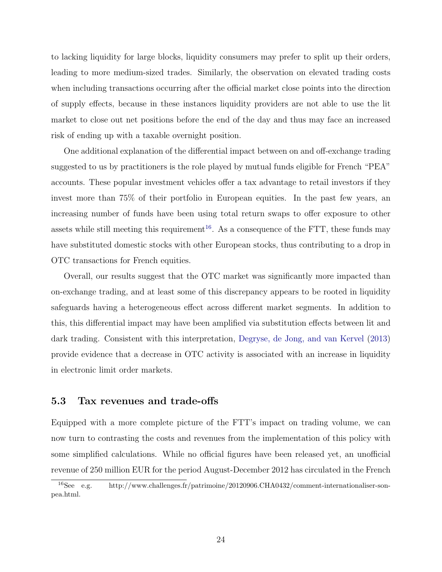<span id="page-24-2"></span>to lacking liquidity for large blocks, liquidity consumers may prefer to split up their orders, leading to more medium-sized trades. Similarly, the observation on elevated trading costs when including transactions occurring after the official market close points into the direction of supply effects, because in these instances liquidity providers are not able to use the lit market to close out net positions before the end of the day and thus may face an increased risk of ending up with a taxable overnight position.

One additional explanation of the differential impact between on and off-exchange trading suggested to us by practitioners is the role played by mutual funds eligible for French "PEA" accounts. These popular investment vehicles offer a tax advantage to retail investors if they invest more than 75% of their portfolio in European equities. In the past few years, an increasing number of funds have been using total return swaps to offer exposure to other assets while still meeting this requirement<sup>[16](#page-24-0)</sup>. As a consequence of the FTT, these funds may have substituted domestic stocks with other European stocks, thus contributing to a drop in OTC transactions for French equities.

Overall, our results suggest that the OTC market was significantly more impacted than on-exchange trading, and at least some of this discrepancy appears to be rooted in liquidity safeguards having a heterogeneous effect across different market segments. In addition to this, this differential impact may have been amplified via substitution effects between lit and dark trading. Consistent with this interpretation, [Degryse, de Jong, and van Kervel](#page-46-12) [\(2013\)](#page-46-12) provide evidence that a decrease in OTC activity is associated with an increase in liquidity in electronic limit order markets.

#### <span id="page-24-1"></span>5.3 Tax revenues and trade-offs

Equipped with a more complete picture of the FTT's impact on trading volume, we can now turn to contrasting the costs and revenues from the implementation of this policy with some simplified calculations. While no official figures have been released yet, an unofficial revenue of 250 million EUR for the period August-December 2012 has circulated in the French

<span id="page-24-0"></span><sup>16</sup>See e.g. http://www.challenges.fr/patrimoine/20120906.CHA0432/comment-internationaliser-sonpea.html.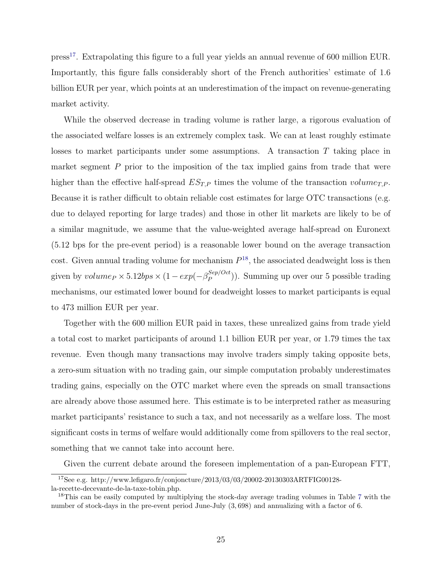press[17](#page-25-0). Extrapolating this figure to a full year yields an annual revenue of 600 million EUR. Importantly, this figure falls considerably short of the French authorities' estimate of 1.6 billion EUR per year, which points at an underestimation of the impact on revenue-generating market activity.

While the observed decrease in trading volume is rather large, a rigorous evaluation of the associated welfare losses is an extremely complex task. We can at least roughly estimate losses to market participants under some assumptions. A transaction T taking place in market segment  $P$  prior to the imposition of the tax implied gains from trade that were higher than the effective half-spread  $ES_{TP}$  times the volume of the transaction volume<sub>T,P</sub>. Because it is rather difficult to obtain reliable cost estimates for large OTC transactions (e.g. due to delayed reporting for large trades) and those in other lit markets are likely to be of a similar magnitude, we assume that the value-weighted average half-spread on Euronext (5.12 bps for the pre-event period) is a reasonable lower bound on the average transaction cost. Given annual trading volume for mechanism  $P^{18}$  $P^{18}$  $P^{18}$ , the associated deadweight loss is then given by  $volume_P \times 5.12bps \times (1 - exp(-\beta_P^{Sep/Oct}$  $\binom{Sep/Oct}{P}$ ). Summing up over our 5 possible trading mechanisms, our estimated lower bound for deadweight losses to market participants is equal to 473 million EUR per year.

Together with the 600 million EUR paid in taxes, these unrealized gains from trade yield a total cost to market participants of around 1.1 billion EUR per year, or 1.79 times the tax revenue. Even though many transactions may involve traders simply taking opposite bets, a zero-sum situation with no trading gain, our simple computation probably underestimates trading gains, especially on the OTC market where even the spreads on small transactions are already above those assumed here. This estimate is to be interpreted rather as measuring market participants' resistance to such a tax, and not necessarily as a welfare loss. The most significant costs in terms of welfare would additionally come from spillovers to the real sector, something that we cannot take into account here.

Given the current debate around the foreseen implementation of a pan-European FTT,

<span id="page-25-0"></span><sup>17</sup>See e.g. http://www.lefigaro.fr/conjoncture/2013/03/03/20002-20130303ARTFIG00128 la-recette-decevante-de-la-taxe-tobin.php.

<span id="page-25-1"></span><sup>&</sup>lt;sup>18</sup>This can be easily computed by multiplying the stock-day average trading volumes in Table [7](#page-34-0) with the number of stock-days in the pre-event period June-July (3, 698) and annualizing with a factor of 6.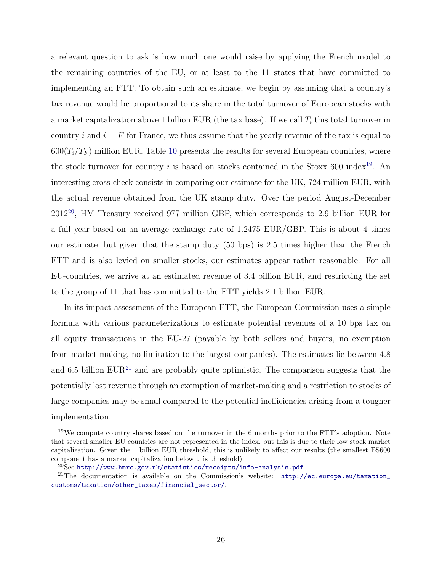a relevant question to ask is how much one would raise by applying the French model to the remaining countries of the EU, or at least to the 11 states that have committed to implementing an FTT. To obtain such an estimate, we begin by assuming that a country's tax revenue would be proportional to its share in the total turnover of European stocks with a market capitalization above 1 billion EUR (the tax base). If we call  $T_i$  this total turnover in country i and  $i = F$  for France, we thus assume that the yearly revenue of the tax is equal to  $600(T_i/T_F)$  million EUR. Table [10](#page-37-0) presents the results for several European countries, where the stock turnover for country i is based on stocks contained in the Stoxx 600 index<sup>[19](#page-26-0)</sup>. An interesting cross-check consists in comparing our estimate for the UK, 724 million EUR, with the actual revenue obtained from the UK stamp duty. Over the period August-December 2012[20](#page-26-1), HM Treasury received 977 million GBP, which corresponds to 2.9 billion EUR for a full year based on an average exchange rate of 1.2475 EUR/GBP. This is about 4 times our estimate, but given that the stamp duty (50 bps) is 2.5 times higher than the French FTT and is also levied on smaller stocks, our estimates appear rather reasonable. For all EU-countries, we arrive at an estimated revenue of 3.4 billion EUR, and restricting the set to the group of 11 that has committed to the FTT yields 2.1 billion EUR.

In its impact assessment of the European FTT, the European Commission uses a simple formula with various parameterizations to estimate potential revenues of a 10 bps tax on all equity transactions in the EU-27 (payable by both sellers and buyers, no exemption from market-making, no limitation to the largest companies). The estimates lie between 4.8 and 6.5 billion  $EUR^{21}$  $EUR^{21}$  $EUR^{21}$  and are probably quite optimistic. The comparison suggests that the potentially lost revenue through an exemption of market-making and a restriction to stocks of large companies may be small compared to the potential inefficiencies arising from a tougher implementation.

<span id="page-26-0"></span><sup>&</sup>lt;sup>19</sup>We compute country shares based on the turnover in the 6 months prior to the FTT's adoption. Note that several smaller EU countries are not represented in the index, but this is due to their low stock market capitalization. Given the 1 billion EUR threshold, this is unlikely to affect our results (the smallest ES600 component has a market capitalization below this threshold).

<span id="page-26-2"></span><span id="page-26-1"></span> $^{20}$ See <http://www.hmrc.gov.uk/statistics/receipts/info-analysis.pdf>.

<sup>21</sup>The documentation is available on the Commission's website: [http://ec.europa.eu/taxation\\_](http://ec.europa.eu/taxation_customs/taxation/other_taxes/financial_sector/) [customs/taxation/other\\_taxes/financial\\_sector/](http://ec.europa.eu/taxation_customs/taxation/other_taxes/financial_sector/).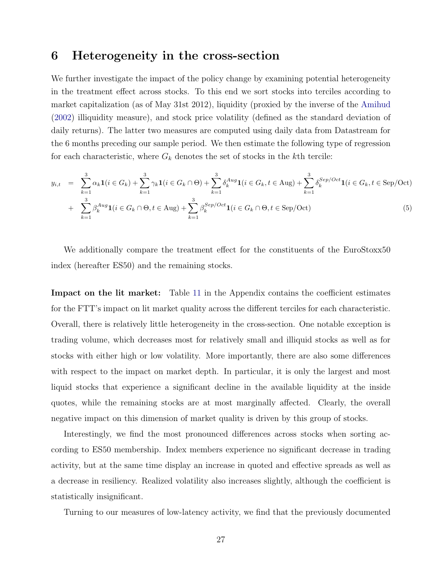### <span id="page-27-2"></span><span id="page-27-1"></span><span id="page-27-0"></span>6 Heterogeneity in the cross-section

We further investigate the impact of the policy change by examining potential heterogeneity in the treatment effect across stocks. To this end we sort stocks into terciles according to market capitalization (as of May 31st 2012), liquidity (proxied by the inverse of the [Amihud](#page-46-17) [\(2002\)](#page-46-17) illiquidity measure), and stock price volatility (defined as the standard deviation of daily returns). The latter two measures are computed using daily data from Datastream for the 6 months preceding our sample period. We then estimate the following type of regression for each characteristic, where  $G_k$  denotes the set of stocks in the kth tercile:

$$
y_{i,t} = \sum_{k=1}^{3} \alpha_k \mathbf{1}(i \in G_k) + \sum_{k=1}^{3} \gamma_k \mathbf{1}(i \in G_k \cap \Theta) + \sum_{k=1}^{3} \delta_k^{Aug} \mathbf{1}(i \in G_k, t \in \text{Aug}) + \sum_{k=1}^{3} \delta_k^{Sep/Oct} \mathbf{1}(i \in G_k, t \in \text{Sep/Oct})
$$
  
+ 
$$
\sum_{k=1}^{3} \beta_k^{Aug} \mathbf{1}(i \in G_k \cap \Theta, t \in \text{Aug}) + \sum_{k=1}^{3} \beta_k^{Sep/Oct} \mathbf{1}(i \in G_k \cap \Theta, t \in \text{Sep/Oct})
$$
(5)

We additionally compare the treatment effect for the constituents of the EuroStoxx50 index (hereafter ES50) and the remaining stocks.

Impact on the lit market: Table [11](#page-38-0) in the Appendix contains the coefficient estimates for the FTT's impact on lit market quality across the different terciles for each characteristic. Overall, there is relatively little heterogeneity in the cross-section. One notable exception is trading volume, which decreases most for relatively small and illiquid stocks as well as for stocks with either high or low volatility. More importantly, there are also some differences with respect to the impact on market depth. In particular, it is only the largest and most liquid stocks that experience a significant decline in the available liquidity at the inside quotes, while the remaining stocks are at most marginally affected. Clearly, the overall negative impact on this dimension of market quality is driven by this group of stocks.

Interestingly, we find the most pronounced differences across stocks when sorting according to ES50 membership. Index members experience no significant decrease in trading activity, but at the same time display an increase in quoted and effective spreads as well as a decrease in resiliency. Realized volatility also increases slightly, although the coefficient is statistically insignificant.

Turning to our measures of low-latency activity, we find that the previously documented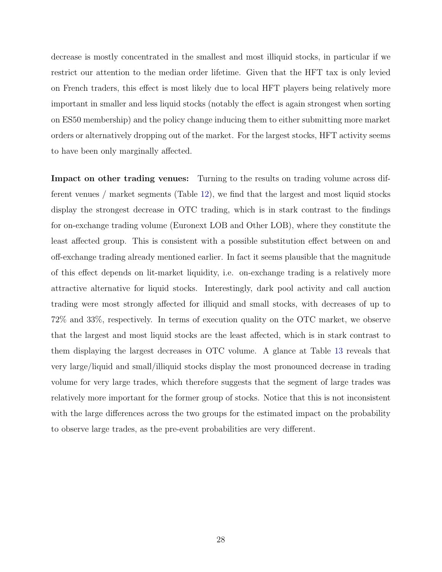decrease is mostly concentrated in the smallest and most illiquid stocks, in particular if we restrict our attention to the median order lifetime. Given that the HFT tax is only levied on French traders, this effect is most likely due to local HFT players being relatively more important in smaller and less liquid stocks (notably the effect is again strongest when sorting on ES50 membership) and the policy change inducing them to either submitting more market orders or alternatively dropping out of the market. For the largest stocks, HFT activity seems to have been only marginally affected.

Impact on other trading venues: Turning to the results on trading volume across different venues / market segments (Table [12\)](#page-39-0), we find that the largest and most liquid stocks display the strongest decrease in OTC trading, which is in stark contrast to the findings for on-exchange trading volume (Euronext LOB and Other LOB), where they constitute the least affected group. This is consistent with a possible substitution effect between on and off-exchange trading already mentioned earlier. In fact it seems plausible that the magnitude of this effect depends on lit-market liquidity, i.e. on-exchange trading is a relatively more attractive alternative for liquid stocks. Interestingly, dark pool activity and call auction trading were most strongly affected for illiquid and small stocks, with decreases of up to 72% and 33%, respectively. In terms of execution quality on the OTC market, we observe that the largest and most liquid stocks are the least affected, which is in stark contrast to them displaying the largest decreases in OTC volume. A glance at Table [13](#page-40-0) reveals that very large/liquid and small/illiquid stocks display the most pronounced decrease in trading volume for very large trades, which therefore suggests that the segment of large trades was relatively more important for the former group of stocks. Notice that this is not inconsistent with the large differences across the two groups for the estimated impact on the probability to observe large trades, as the pre-event probabilities are very different.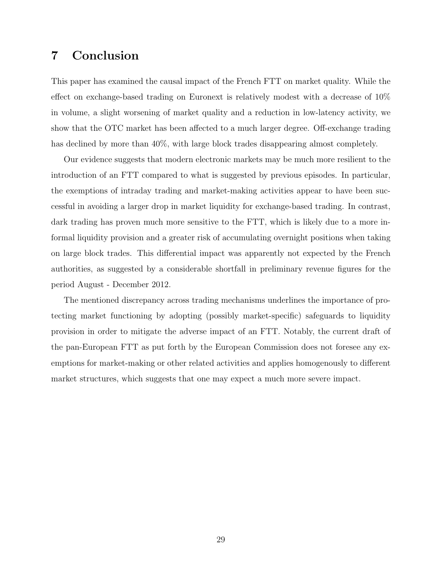# 7 Conclusion

This paper has examined the causal impact of the French FTT on market quality. While the effect on exchange-based trading on Euronext is relatively modest with a decrease of 10% in volume, a slight worsening of market quality and a reduction in low-latency activity, we show that the OTC market has been affected to a much larger degree. Off-exchange trading has declined by more than  $40\%$ , with large block trades disappearing almost completely.

Our evidence suggests that modern electronic markets may be much more resilient to the introduction of an FTT compared to what is suggested by previous episodes. In particular, the exemptions of intraday trading and market-making activities appear to have been successful in avoiding a larger drop in market liquidity for exchange-based trading. In contrast, dark trading has proven much more sensitive to the FTT, which is likely due to a more informal liquidity provision and a greater risk of accumulating overnight positions when taking on large block trades. This differential impact was apparently not expected by the French authorities, as suggested by a considerable shortfall in preliminary revenue figures for the period August - December 2012.

The mentioned discrepancy across trading mechanisms underlines the importance of protecting market functioning by adopting (possibly market-specific) safeguards to liquidity provision in order to mitigate the adverse impact of an FTT. Notably, the current draft of the pan-European FTT as put forth by the European Commission does not foresee any exemptions for market-making or other related activities and applies homogenously to different market structures, which suggests that one may expect a much more severe impact.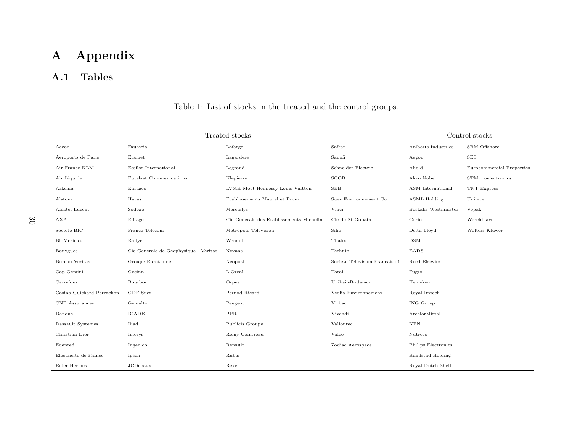# <span id="page-30-0"></span>A Appendix

# A.1 Tables

|                           |                                       | Control stocks                           |                                |                      |                           |
|---------------------------|---------------------------------------|------------------------------------------|--------------------------------|----------------------|---------------------------|
| Accor                     | Faurecia                              | Lafarge                                  | Safran                         | Aalberts Industries  | SBM Offshore              |
| Aeroports de Paris        | Eramet                                | Lagardere                                | Sanofi                         | Aegon                | <b>SES</b>                |
| Air France-KLM            | Essilor International                 | Legrand                                  | Schneider Electric             | Ahold                | Eurocommercial Properties |
| Air Liquide               | Eutelsat Communications               | Klepierre                                | SCOR                           | Akzo Nobel           | STMicroelectronics        |
| Arkema                    | Eurazeo                               | LVMH Moet Hennessy Louis Vuitton         | <b>SEB</b>                     | ASM International    | TNT Express               |
| Alstom                    | Havas                                 | Etablissements Maurel et Prom            | Suez Environnement Co          | ASML Holding         | Unilever                  |
| Alcatel-Lucent            | Sodexo                                | Mercialys                                | Vinci                          | Boskalis Westminster | Vopak                     |
| AXA                       | Eiffage                               | Cie Generale des Etablissements Michelin | Cie de St-Gobain               | Corio                | Wereldhave                |
| Societe BIC               | France Telecom                        | Metropole Television                     | Silic                          | Delta Lloyd          | Wolters Kluwer            |
| BioMerieux                | Rallye                                | Wendel                                   | Thales                         | <b>DSM</b>           |                           |
| Bouygues                  | Cie Generale de Geophysique - Veritas | Nexans                                   | Technip                        | EADS                 |                           |
| <b>Bureau Veritas</b>     | Groupe Eurotunnel                     | Neopost                                  | Societe Television Francaise 1 | Reed Elsevier        |                           |
| Cap Gemini                | Gecina                                | L'Oreal                                  | Total                          | Fugro                |                           |
| Carrefour                 | Bourbon                               | Orpea                                    | Unibail-Rodamco                | Heineken             |                           |
| Casino Guichard Perrachon | GDF Suez                              | Pernod-Ricard                            | Veolia Environnement           | Royal Imtech         |                           |
| CNP Assurances            | Gemalto                               | Peugeot                                  | Virbac                         | ING Groep            |                           |
| Danone                    | ICADE                                 | PPR                                      | Vivendi                        | ArcelorMittal        |                           |
| Dassault Systemes         | Iliad                                 | Publicis Groupe                          | Vallourec                      | <b>KPN</b>           |                           |
| Christian Dior            | Imerys                                | Remy Cointreau                           | Valeo                          | Nutreco              |                           |
| Edenred                   | Ingenico                              | Renault                                  | Zodiac Aerospace               | Philips Electronics  |                           |
| Electricite de France     | Ipsen                                 | Rubis                                    |                                | Randstad Holding     |                           |
| Euler Hermes              | <b>JCDecaux</b>                       | Rexel                                    |                                | Royal Dutch Shell    |                           |

Table 1: List of stocks in the treated and the control groups.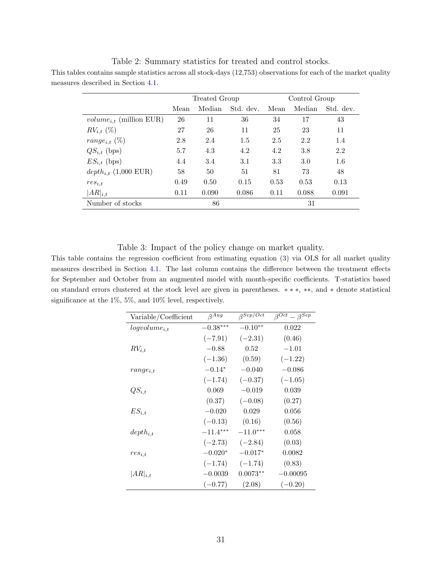Table 2: Summary statistics for treated and control stocks. This tables contains sample statistics across all stock-days (12,753) observations for each of the market quality measures described in Section [4.1.](#page-9-2)

<span id="page-31-0"></span>

|                                           |      | Treated Group |           | Control Group |        |           |  |
|-------------------------------------------|------|---------------|-----------|---------------|--------|-----------|--|
|                                           | Mean | Median        | Std. dev. | Mean          | Median | Std. dev. |  |
| <i>volume<sub>i,t</sub></i> (million EUR) | 26   | 11            | 36        | 34            | 17     | 43        |  |
| $RV_{i,t} (\%)$                           | 27   | 26            | 11        | 25            | 23     | 11        |  |
| range <sub>i,t</sub> $(\%)$               | 2.8  | 2.4           | 1.5       | 2.5           | 2.2    | 1.4       |  |
| $QS_{i,t}$ (bps)                          | 5.7  | 4.3           | 4.2       | 4.2           | 3.8    | 2.2       |  |
| $ES_{i,t}$ (bps)                          | 4.4  | 3.4           | 3.1       | 3.3           | 3.0    | 1.6       |  |
| $depth_{i,t}$ (1,000 EUR)                 | 58   | 50            | 51        | 81            | 73     | 48        |  |
| $res_{i,t}$                               | 0.49 | 0.50          | 0.15      | 0.53          | 0.53   | 0.13      |  |
| $ AR _{i,t}$                              | 0.11 | 0.090         | 0.086     | 0.11          | 0.088  | 0.091     |  |
| Number of stocks                          |      | 86            |           |               | 31     |           |  |

<span id="page-31-2"></span><span id="page-31-1"></span>Table 3: Impact of the policy change on market quality.

This table contains the regression coefficient from estimating equation [\(3\)](#page-10-1) via OLS for all market quality measures described in Section [4.1.](#page-9-2) The last column contains the difference between the treatment effects for September and October from an augmented model with month-specific coefficients. T-statistics based on standard errors clustered at the stock level are given in parentheses. ∗ ∗ ∗, ∗∗, and ∗ denote statistical significance at the 1%, 5%, and 10% level, respectively.

| Variable/Coefficient | $\beta^{Aug}$ | $\beta$ Sep/Oct | $\beta^{Oct} - \beta^{Sep}$ |
|----------------------|---------------|-----------------|-----------------------------|
| $logvolume_{i.t}$    | $-0.38***$    | $-0.10**$       | 0.022                       |
|                      | $(-7.91)$     | $(-2.31)$       | (0.46)                      |
| $RV_{i,t}$           | $-0.88$       | 0.52            | $-1.01$                     |
|                      | $(-1.36)$     | (0.59)          | $(-1.22)$                   |
| $range_{i,t}$        | $-0.14*$      | $-0.040$        | $-0.086$                    |
|                      | $(-1.74)$     | $(-0.37)$       | $(-1.05)$                   |
| $QS_{i,t}$           | 0.069         | $-0.019$        | 0.039                       |
|                      | (0.37)        | $(-0.08)$       | (0.27)                      |
| $ES_{i,t}$           | $-0.020$      | 0.029           | 0.056                       |
|                      | $(-0.13)$     | (0.16)          | (0.56)                      |
| $depth_{i,t}$        | $-11.4***$    | $-11.0***$      | 0.058                       |
|                      | $(-2.73)$     | $(-2.84)$       | (0.03)                      |
| $res_{i,t}$          | $-0.020*$     | $-0.017*$       | 0.0082                      |
|                      | $(-1.74)$     | $(-1.74)$       | (0.83)                      |
| $ AR _{i,t}$         | $-0.0039$     | $0.0073**$      | $\text{-}0.00095$           |
|                      | $(-0.77)$     | (2.08)          | $(-0.20)$                   |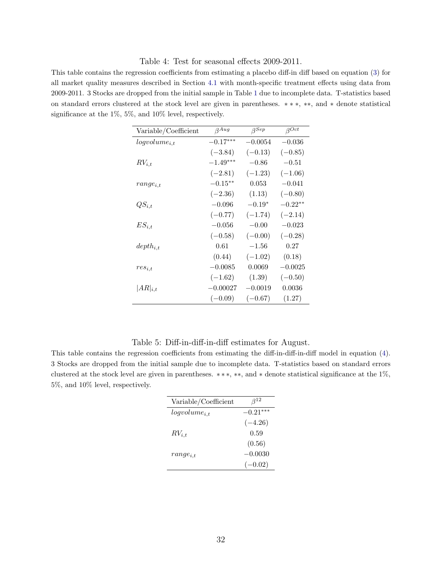#### <span id="page-32-0"></span>Table 4: Test for seasonal effects 2009-2011.

This table contains the regression coefficients from estimating a placebo diff-in diff based on equation [\(3\)](#page-10-1) for all market quality measures described in Section [4.1](#page-9-2) with month-specific treatment effects using data from 2009-2011. 3 Stocks are dropped from the initial sample in Table [1](#page-30-0) due to incomplete data. T-statistics based on standard errors clustered at the stock level are given in parentheses. ∗ ∗ ∗, ∗∗, and ∗ denote statistical significance at the 1%, 5%, and 10% level, respectively.

| Variable/Coefficient | $\beta^{Aug}$ | $\beta^{Sep}$ | $\beta^{Oct}$ |
|----------------------|---------------|---------------|---------------|
| $logvolume_{i,t}$    | $-0.17***$    | $-0.0054$     | $-0.036$      |
|                      | $(-3.84)$     | $(-0.13)$     | $(-0.85)$     |
| $RV_{i,t}$           | $-1.49***$    | $-0.86$       | $-0.51$       |
|                      | $(-2.81)$     | $(-1.23)$     | $(-1.06)$     |
| $range_{i,t}$        | $-0.15**$     | 0.053         | $-0.041$      |
|                      | $(-2.36)$     | (1.13)        | $(-0.80)$     |
| $QS_{i,t}$           | $-0.096$      | $-0.19*$      | $-0.22**$     |
|                      | $(-0.77)$     | $(-1.74)$     | $(-2.14)$     |
| $ES_{i.t}$           | $-0.056$      | $-0.00$       | $-0.023$      |
|                      | $(-0.58)$     | $(-0.00)$     | $(-0.28)$     |
| $depth_{i,t}$        | 0.61          | $-1.56$       | 0.27          |
|                      | (0.44)        | $(-1.02)$     | (0.18)        |
| $res_{i.t}$          | $-0.0085$     | 0.0069        | $-0.0025$     |
|                      | $(-1.62)$     | (1.39)        | $(-0.50)$     |
| $ AR _{i,t}$         | $-0.00027$    | $-0.0019$     | 0.0036        |
|                      | $(-0.09)$     | $(-0.67)$     | (1.27)        |

#### <span id="page-32-1"></span>Table 5: Diff-in-diff-in-diff estimates for August.

This table contains the regression coefficients from estimating the diff-in-diff-in-diff model in equation [\(4\)](#page-14-1). 3 Stocks are dropped from the initial sample due to incomplete data. T-statistics based on standard errors clustered at the stock level are given in parentheses. ∗ ∗ ∗, ∗∗, and ∗ denote statistical significance at the 1%, 5%, and 10% level, respectively.

| Variable/Coefficient | $\beta^{12}$ |
|----------------------|--------------|
| $logvolume_{i.t}$    | $-0.21***$   |
|                      | $(-4.26)$    |
| $RV_{i,t}$           | 0.59         |
|                      | (0.56)       |
| $range_{i.t}$        | $-0.0030$    |
|                      | $(-0.02)$    |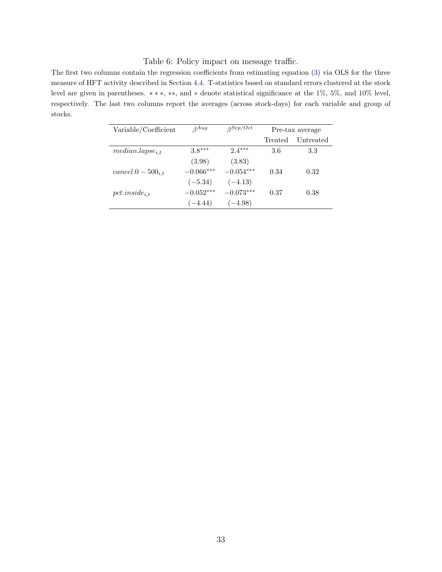#### <span id="page-33-1"></span><span id="page-33-0"></span>Table 6: Policy impact on message traffic.

The first two columns contain the regression coefficients from estimating equation [\(3\)](#page-10-1) via OLS for the three measure of HFT activity described in Section [4.4.](#page-14-0) T-statistics based on standard errors clustered at the stock level are given in parentheses. ∗ ∗ ∗, ∗∗, and ∗ denote statistical significance at the 1%, 5%, and 10% level, respectively. The last two columns report the averages (across stock-days) for each variable and group of stocks.

| Variable/Coefficient  | $A$ <sup><math>\alpha</math></sup> | $\beta$ Sep/Oct |         | Pre-tax average |
|-----------------------|------------------------------------|-----------------|---------|-----------------|
|                       |                                    |                 | Treated | Untreated       |
| $median.langse_{i,t}$ | $3.8***$                           | $2.4***$        | 3.6     | 3.3             |
|                       | (3.98)                             | (3.83)          |         |                 |
| $cancel.0-500_{i.t}$  | $-0.066***$                        | $-0.054***$     | 0.34    | 0.32            |
|                       | $(-5.34)$                          | $(-4.13)$       |         |                 |
| $pct. inside_{i.t}$   | $-0.052***$                        | $-0.073***$     | 0.37    | 0.38            |
|                       | $(-4.44)$                          | $(-4.98)$       |         |                 |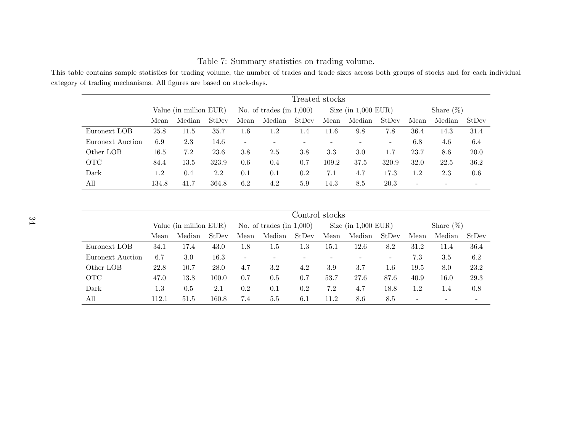|                  |       |                        |       |                            |        | Treated stocks |                       |        |                          |      |        |       |
|------------------|-------|------------------------|-------|----------------------------|--------|----------------|-----------------------|--------|--------------------------|------|--------|-------|
|                  |       | Value (in million EUR) |       | No. of trades $(in 1,000)$ |        |                | Size $(in 1,000$ EUR) |        | Share $(\%)$             |      |        |       |
|                  | Mean  | Median                 | StDev | Mean                       | Median | StDev          | Mean                  | Median | StDev                    | Mean | Median | StDev |
| Euronext LOB     | 25.8  | 11.5                   | 35.7  | $1.6\,$                    | 1.2    | 1.4            | 11.6                  | 9.8    | 7.8                      | 36.4 | 14.3   | 31.4  |
| Euronext Auction | 6.9   | 2.3                    | 14.6  | -                          | -      |                |                       |        | $\overline{\phantom{a}}$ | 6.8  | 4.6    | 6.4   |
| Other LOB        | 16.5  | 7.2                    | 23.6  | 3.8                        | 2.5    | 3.8            | 3.3                   | 3.0    | 1.7                      | 23.7 | 8.6    | 20.0  |
| <b>OTC</b>       | 84.4  | 13.5                   | 323.9 | 0.6                        | 0.4    | 0.7            | 109.2                 | 37.5   | 320.9                    | 32.0 | 22.5   | 36.2  |
| Dark             | 1.2   | 0.4                    | 2.2   | 0.1                        | 0.1    | 0.2            | 7.1                   | 4.7    | 17.3                     | 1.2  | 2.3    | 0.6   |
| All              | 134.8 | 41.7                   | 364.8 | 6.2                        | 4.2    | 5.9            | 14.3                  | 8.5    | 20.3                     | -    |        |       |

<span id="page-34-0"></span>Table 7: Summary statistics on trading volume.

| This table contains sample statistics for trading volume, the number of trades and trade sizes across both groups of stocks and for each individual |  |  |  |  |  |
|-----------------------------------------------------------------------------------------------------------------------------------------------------|--|--|--|--|--|
| category of trading mechanisms. All figures are based on stock-days.                                                                                |  |  |  |  |  |

|                  |         | Control stocks         |       |                            |         |       |                       |        |         |                          |        |       |
|------------------|---------|------------------------|-------|----------------------------|---------|-------|-----------------------|--------|---------|--------------------------|--------|-------|
|                  |         | Value (in million EUR) |       | No. of trades $(in 1,000)$ |         |       | Size $(in 1,000$ EUR) |        |         | Share $(\%)$             |        |       |
|                  | Mean    | Median                 | StDev | Mean                       | Median  | StDev | Mean                  | Median | StDev   | Mean                     | Median | StDev |
| Euronext LOB     | 34.1    | 17.4                   | 43.0  | 1.8                        | $1.5\,$ | 1.3   | $15.1\,$              | 12.6   | 8.2     | 31.2                     | 11.4   | 36.4  |
| Euronext Auction | 6.7     | 3.0                    | 16.3  |                            |         |       |                       |        | -       | 7.3                      | 3.5    | 6.2   |
| Other LOB        | 22.8    | 10.7                   | 28.0  | 4.7                        | 3.2     | 4.2   | 3.9                   | 3.7    | $1.6\,$ | 19.5                     | 8.0    | 23.2  |
| <b>OTC</b>       | 47.0    | 13.8                   | 100.0 | 0.7                        | 0.5     | 0.7   | 53.7                  | 27.6   | 87.6    | 40.9                     | 16.0   | 29.3  |
| Dark             | $1.3\,$ | 0.5                    | 2.1   | 0.2                        | 0.1     | 0.2   | 7.2                   | 4.7    | 18.8    | 1.2                      | 1.4    | 0.8   |
| All              | 112.1   | 51.5                   | 160.8 | 7.4                        | 5.5     | 6.1   | 11.2                  | 8.6    | 8.5     | $\overline{\phantom{a}}$ |        |       |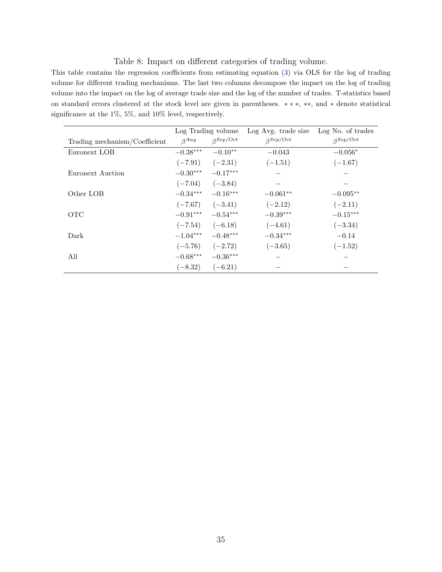#### <span id="page-35-1"></span><span id="page-35-0"></span>Table 8: Impact on different categories of trading volume.

This table contains the regression coefficients from estimating equation [\(3\)](#page-10-1) via OLS for the log of trading volume for different trading mechanisms. The last two columns decompose the impact on the log of trading volume into the impact on the log of average trade size and the log of the number of trades. T-statistics based on standard errors clustered at the stock level are given in parentheses. ∗ ∗ ∗, ∗∗, and ∗ denote statistical significance at the 1%, 5%, and 10% level, respectively.

|                               | Log Trading volume |                 | Log Avg. trade size | Log No. of trades |
|-------------------------------|--------------------|-----------------|---------------------|-------------------|
| Trading mechanism/Coefficient | $\beta$ Aug        | $\beta$ Sep/Oct | $\beta$ Sep/Oct     | $\beta$ Sep/Oct   |
| Euronext LOB                  | $-0.38***$         | $-0.10**$       | $-0.043$            | $-0.056*$         |
|                               | $(-7.91)$          | $(-2.31)$       | $(-1.51)$           | $(-1.67)$         |
| Euronext Auction              | $-0.30***$         | $-0.17***$      |                     |                   |
|                               | $(-7.04)$          | $(-3.84)$       |                     |                   |
| Other LOB                     | $-0.34***$         | $-0.16***$      | $-0.061**$          | $-0.095**$        |
|                               | $(-7.67)$          | $(-3.41)$       | $(-2.12)$           | $(-2.11)$         |
| <b>OTC</b>                    | $-0.91***$         | $-0.54***$      | $-0.39***$          | $-0.15***$        |
|                               | $(-7.54)$          | $(-6.18)$       | $(-4.61)$           | $(-3.34)$         |
| Dark                          | $-1.04***$         | $-0.48***$      | $-0.34***$          | $-0.14$           |
|                               | $(-5.76)$          | $(-2.72)$       | $(-3.65)$           | $(-1.52)$         |
| All                           | $-0.68***$         | $-0.36***$      |                     |                   |
|                               | $(-8.32)$          | $(-6.21)$       |                     |                   |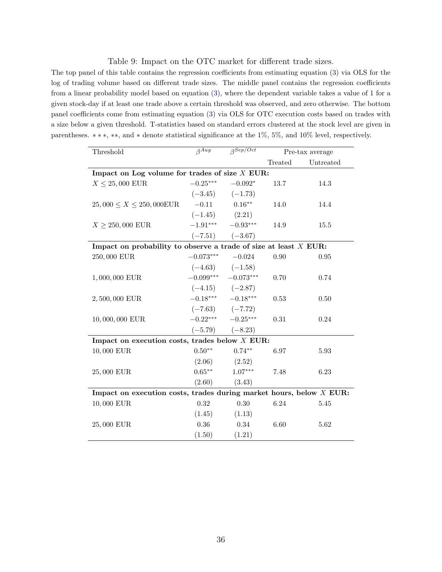#### <span id="page-36-1"></span><span id="page-36-0"></span>Table 9: Impact on the OTC market for different trade sizes.

The top panel of this table contains the regression coefficients from estimating equation [\(3\)](#page-10-1) via OLS for the log of trading volume based on different trade sizes. The middle panel contains the regression coefficients from a linear probability model based on equation [\(3\)](#page-10-1), where the dependent variable takes a value of 1 for a given stock-day if at least one trade above a certain threshold was observed, and zero otherwise. The bottom panel coefficients come from estimating equation [\(3\)](#page-10-1) via OLS for OTC execution costs based on trades with a size below a given threshold. T-statistics based on standard errors clustered at the stock level are given in parentheses. ∗ ∗ ∗, ∗∗, and ∗ denote statistical significance at the 1%, 5%, and 10% level, respectively.

| Threshold                                                             | $\beta^{A\overline{u}\overline{g}}$ | $\beta^{Sep/Oct}$ |         | Pre-tax average |
|-----------------------------------------------------------------------|-------------------------------------|-------------------|---------|-----------------|
|                                                                       |                                     |                   | Treated | Untreated       |
| Impact on Log volume for trades of size $X$ EUR:                      |                                     |                   |         |                 |
| $X \leq 25,000$ EUR                                                   | $-0.25***$                          | $-0.092*$         | 13.7    | 14.3            |
|                                                                       | $(-3.45)$ $(-1.73)$                 |                   |         |                 |
| $25,000 \le X \le 250,000$ EUR                                        | $-0.11$                             | $0.16**$          | 14.0    | 14.4            |
|                                                                       | $(-1.45)$ $(2.21)$                  |                   |         |                 |
| $X \ge 250,000$ EUR                                                   | $-1.91***$ $-0.93***$               |                   | 14.9    | 15.5            |
|                                                                       | $(-7.51)$ $(-3.67)$                 |                   |         |                 |
| Impact on probability to observe a trade of size at least $X$ EUR:    |                                     |                   |         |                 |
| 250,000 EUR                                                           | $-0.073***$ $-0.024$                |                   | 0.90    | $\,0.95\,$      |
|                                                                       | $(-4.63)$ $(-1.58)$                 |                   |         |                 |
| 1,000,000 EUR                                                         | $-0.099***$ $-0.073***$             |                   | 0.70    | 0.74            |
|                                                                       | $(-4.15)$ $(-2.87)$                 |                   |         |                 |
| 2,500,000 EUR                                                         | $-0.18***$ $-0.18***$               |                   | 0.53    | 0.50            |
|                                                                       | $(-7.63)$ $(-7.72)$                 |                   |         |                 |
| 10,000,000 EUR                                                        | $-0.22***$ $-0.25***$               |                   | 0.31    | 0.24            |
|                                                                       | $(-5.79)$ $(-8.23)$                 |                   |         |                 |
| Impact on execution costs, trades below $X$ EUR:                      |                                     |                   |         |                 |
| 10,000 EUR                                                            | $0.50**$                            | $0.74**$          | 6.97    | 5.93            |
|                                                                       | (2.06)                              | (2.52)            |         |                 |
| 25,000 EUR                                                            | $0.65***$                           | $1.07***$         | 7.48    | 6.23            |
|                                                                       | (2.60)                              | (3.43)            |         |                 |
| Impact on execution costs, trades during market hours, below $X$ EUR: |                                     |                   |         |                 |
| 10,000 EUR                                                            | 0.32                                | 0.30              | 6.24    | 5.45            |
|                                                                       | (1.45)                              | (1.13)            |         |                 |
| 25,000 EUR                                                            | $0.36\,$                            | 0.34              | 6.60    | 5.62            |
|                                                                       | (1.50)                              | (1.21)            |         |                 |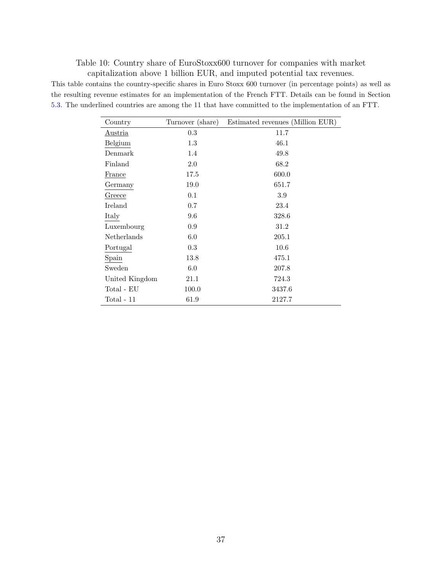<span id="page-37-0"></span>Table 10: Country share of EuroStoxx600 turnover for companies with market capitalization above 1 billion EUR, and imputed potential tax revenues.

This table contains the country-specific shares in Euro Stoxx 600 turnover (in percentage points) as well as the resulting revenue estimates for an implementation of the French FTT. Details can be found in Section [5.3.](#page-24-1) The underlined countries are among the 11 that have committed to the implementation of an FTT.

| Country            | Turnover (share) | Estimated revenues (Million EUR) |
|--------------------|------------------|----------------------------------|
| <u>Austria</u>     | 0.3              | 11.7                             |
| Belgium            | 1.3              | 46.1                             |
| Denmark            | 1.4              | 49.8                             |
| Finland            | 2.0              | 68.2                             |
| France             | 17.5             | 600.0                            |
| Germany            | 19.0             | 651.7                            |
| Greece             | 0.1              | 3.9                              |
| Ireland            | 0.7              | 23.4                             |
| Italy              | 9.6              | 328.6                            |
| Luxembourg         | 0.9              | 31.2                             |
| <b>Netherlands</b> | 6.0              | 205.1                            |
| Portugal           | 0.3              | 10.6                             |
| Spain              | 13.8             | 475.1                            |
| Sweden             | 6.0              | 207.8                            |
| United Kingdom     | 21.1             | 724.3                            |
| Total - EU         | 100.0            | 3437.6                           |
| $Total - 11$       | 61.9             | 2127.7                           |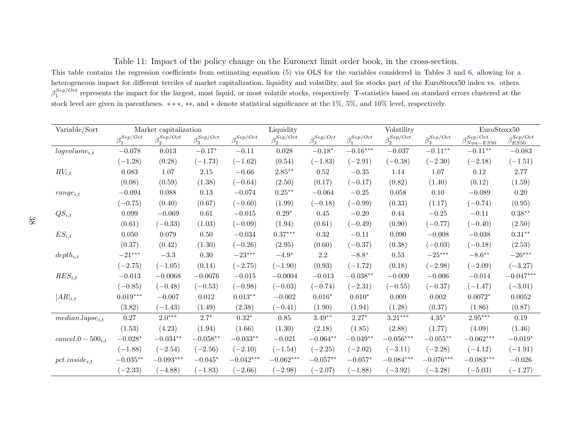<span id="page-38-0"></span>Table 11: Impact of the policy change on the Euronext limit order book, in the cross-section.

This table contains the regression coefficients from estimating equation [\(5\)](#page-27-1) via OLS for the variables considered in Tables [3](#page-31-2) and [6,](#page-33-1) allowing for <sup>a</sup> heterogeneous impact for different terciles of market capitalization, liquidity and volatility, and for stocks part of the EuroStoxx50 index vs. others. $\beta_1^{Sep/Oct}$  represents the impact for the largest, most liquid, or most volatile stocks, respectively. T-statistics based on standard errors clustered at the stock level are given in parentheses. <sup>∗</sup> <sup>∗</sup> <sup>∗</sup>, ∗∗, and <sup>∗</sup> denote statistical significance at the 1%, 5%, and 10% level, respectively.

| Variable/Sort          | Market capitalization |                     |                     |                     | Liquidity           |                     |                     | Volatility          | EuroStoxx50             |                              |                          |
|------------------------|-----------------------|---------------------|---------------------|---------------------|---------------------|---------------------|---------------------|---------------------|-------------------------|------------------------------|--------------------------|
|                        | $\beta_1^{Sep/Oct}$   | $\beta_2^{Sep/Oct}$ | $\beta_3^{Sep/Oct}$ | $\beta_1^{Sep/Oct}$ | $\beta_2^{Sep/Oct}$ | $\beta_3^{Sep/Oct}$ | $\beta_1^{Sep/Oct}$ | $\beta_2^{Sep/Oct}$ | $\beta_3^{Sep/Oct}$     | $\beta_{Non-ES50}^{Sep/Oct}$ | $\beta_{ES50}^{Sep/Oct}$ |
| $logvolume_{i,t}$      | $-0.078$              | $\,0.013\,$         | $-0.17^{\ast}$      | $-0.11$             | $0.028\,$           | $-0.18*$            | $-0.16***$          | $-0.037$            | $-0.11**$               | $-0.11**$                    | $-0.083$                 |
|                        | $(-1.28)$             | (0.28)              | $(-1.73)$           | $(-1.62)$           | (0.54)              | $(-1.83)$           | $(-2.91)$           | $(-0.38)$           | $(-2.30)$               | $(-2.18)$                    | $(-1.51)$                |
| $RV_{i,t}$             | 0.083                 | 1.07                | 2.15                | $-0.66$             | $2.85***$           | 0.52                | $-0.35$             | 1.14                | 1.07                    | $0.12\,$                     | $2.77\,$                 |
|                        | (0.08)                | (0.59)              | (1.38)              | $(-0.64)$           | (2.50)              | (0.17)              | $(-0.17)$           | (0.82)              | (1.40)                  | (0.12)                       | (1.59)                   |
| $range_{i,t}$          | $-0.094$              | 0.088               | 0.13                | $-0.074$            | $0.25***$           | $-0.064$            | $-0.25$             | 0.058               | 0.10                    | $-0.089$                     | $0.20\,$                 |
|                        | $(-0.75)$             | (0.40)              | (0.67)              | $(-0.60)$           | (1.99)              | $(-0.18)$           | $(-0.99)$           | (0.33)              | (1.17)                  | $(-0.74)$                    | (0.95)                   |
| $QS_{i,t}$             | 0.099                 | $-0.069$            | 0.61                | $-0.015$            | $0.29*$             | 0.45                | $-0.20$             | 0.44                | $-0.25$                 | $-0.11$                      | $0.38***$                |
|                        | (0.61)                | $(-0.33)$           | (1.03)              | $(-0.09)$           | (1.94)              | (0.61)              | $(-0.49)$           | (0.90)              | $(-0.77)$               | $(-0.40)$                    | (2.50)                   |
| $ES_{i,t}$             | 0.050                 | 0.079               | 0.50                | $-0.034$            | $0.37***$           | 0.32                | $-0.11$             | 0.090               | $-0.008$                | $-0.038$                     | $0.31***$                |
|                        | (0.37)                | (0.42)              | (1.30)              | $(-0.26)$           | (2.95)              | (0.60)              | $(-0.37)$           | (0.38)              | $(-0.03)$               | $(-0.18)$                    | (2.53)                   |
| $depth_{i,t}$          | $-21***$              | $-3.3$              | 0.30                | $-23***$            | $-4.9^{\ast}$       | $2.2\,$             | $-8.8^{\ast}$       | 0.53                | $-25***$                | $-8.6***$                    | $-26***$                 |
|                        | $(-2.75)$             | $(-1.05)$           | (0.14)              | $(-2.75)$           | $(-1.90)$           | (0.93)              | $(-1.72)$           | (0.18)              | $(-2.98)$               | $(-2.09)$                    | $(-3.27)$                |
| $RES_{i,t}$            | $-0.013$              | $-0.0068$           | $-0.0076$           | $-0.015$            | $-0.0004$           | $-0.013$            | $-0.038**$          | $-0.009$            | $-0.006$                | $-0.014$                     | $-0.047***$              |
|                        | $(-0.85)$             | $(-0.48)$           | $(-0.53)$           | $(-0.98)$           | $(-0.03)$           | $(-0.74)$           | $(-2.31)$           | $(-0.55)$           | $(-0.37)$               | $(-1.47)$                    | $(-3.01)$                |
| $ AR _{i,t}$           | $0.019***$            | $-0.007$            | 0.012               | $0.013**$           | $-0.002$            | $0.016*$            | $0.010*$            | 0.009               | 0.002                   | $0.0072*$                    | $0.0052\,$               |
|                        | (3.82)                | $(-1.43)$           | (1.49)              | (2.38)              | $(-0.41)$           | (1.90)              | (1.94)              | (1.28)              | (0.37)                  | (1.86)                       | (0.87)                   |
| $median.langse_{i,t}$  | 0.27                  | $2.0***$            | $2.7^\ast$          | $0.32*$             | 0.85                | $3.49^{\ast\ast}$   | $2.27*$             | $3.21***$           | $4.35*$                 | $2.95^{\ast\ast\ast}$        | $0.19\,$                 |
|                        | (1.53)                | (4.23)              | (1.94)              | (1.66)              | (1.30)              | (2.18)              | (1.85)              | (2.88)              | (1.77)                  | (4.09)                       | (1.46)                   |
| $cancel.0 - 500_{i,t}$ | $-0.028*$             | $-0.034**$          | $-0.058**$          | $-0.033**$          | $-0.021$            | $-0.064**$          | $-0.049**$          | $-0.056***$         | $-0.055**$              | $-0.062\sp{***}$             | $-0.019*$                |
|                        | $(-1.88)$             | $(-2.54)$           | $(-2.56)$           | $(-2.10)$           | $(-1.54)$           | $(-2.25)$           | $(-2.02)$           | $(-3.11)$           | $(-2.28)$               | $(-4.12)$                    | $(-1.91)$                |
| $pct. inside_{i,t}$    | $-0.035**$            | $-0.093***$         | $-0.045*$           | $-0.042***$         | $-0.062***$         | $-0.057**$          | $-0.057*$           | $-0.084^{***}\,$    | $-0.076^{\ast\ast\ast}$ | $-0.083***$                  | $-0.026$                 |
|                        | $(-2.33)$             | $(-4.88)$           | $(-1.83)$           | $(-2.66)$           | $(-2.98)$           | $(-2.07)$           | $(-1.88)$           | $(-3.92)$           | $(-3.28)$               | $(-5.03)$                    | $(-1.27)$                |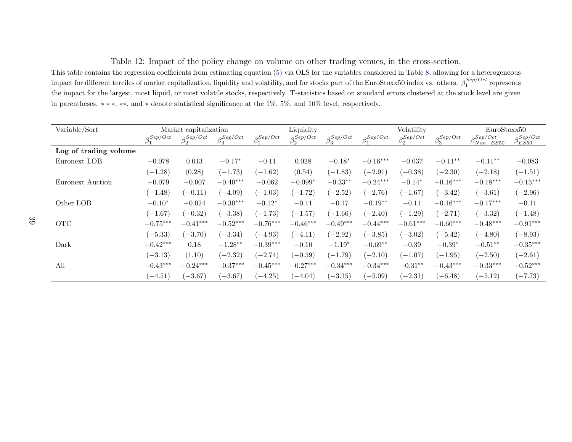<span id="page-39-0"></span>Table 12: Impact of the policy change on volume on other trading venues, in the cross-section.

 This table contains the regression coefficients from estimating equation [\(5\)](#page-27-1) via OLS for the variables considered in Table [8,](#page-35-1) allowing for <sup>a</sup> heterogeneous impact for different terciles of market capitalization, liquidity and volatility, and for stocks part of the EuroStoxx50 index vs. others.  $\beta_1^{Sep/Oct}$  represents the impact for the largest, most liquid, or most volatile stocks, respectively. T-statistics based on standard errors clustered at the stock level are givenin parentheses. <sup>∗</sup> <sup>∗</sup> <sup>∗</sup>, ∗∗, and <sup>∗</sup> denote statistical significance at the 1%, 5%, and 10% level, respectively.

| Variable/Sort         | Market capitalization |               |                     |                     | Liquidity           |                     | Volatility          |                     |                     | EuroStoxx50                                |                                |
|-----------------------|-----------------------|---------------|---------------------|---------------------|---------------------|---------------------|---------------------|---------------------|---------------------|--------------------------------------------|--------------------------------|
|                       | $\beta_1^{Sep/Oct}$   | $_{Q}Sep/Oct$ | $\beta_3^{Sep/Oct}$ | $\beta_1^{Sep/Oct}$ | $\beta_2^{Sep/Oct}$ | $\beta_3^{Sep/Oct}$ | $\beta_1^{Sep/Oct}$ | $\beta_2^{Sep/Oct}$ | $\beta_3^{Sep/Oct}$ | $_{\mathcal{Q}}$ Sep/Oct<br>$P_{Non-ES50}$ | $_{Q}$ Sep/Oct<br>$\mu_{ES50}$ |
| Log of trading volume |                       |               |                     |                     |                     |                     |                     |                     |                     |                                            |                                |
| Euronext LOB          | $-0.078$              | 0.013         | $-0.17*$            | $-0.11$             | 0.028               | $-0.18*$            | $-0.16***$          | $-0.037$            | $-0.11**$           | $-0.11**$                                  | $-0.083$                       |
|                       | $(-1.28)$             | (0.28)        | $(-1.73)$           | $(-1.62)$           | (0.54)              | $(-1.83)$           | $(-2.91)$           | $(-0.38)$           | $(-2.30)$           | $(-2.18)$                                  | $(-1.51)$                      |
| Euronext Auction      | $-0.079$              | $-0.007$      | $-0.40***$          | $-0.062$            | $-0.099*$           | $-0.33**$           | $-0.24***$          | $-0.14*$            | $-0.16***$          | $-0.18***$                                 | $-0.15***$                     |
|                       | $(-1.48)$             | $(-0.11)$     | $(-4.09)$           | $(-1.03)$           | $(-1.72)$           | $(-2.52)$           | $(-2.76)$           | $(-1.67)$           | $(-3.42)$           | $(-3.61)$                                  | $(-2.96)$                      |
| Other LOB             | $-0.10*$              | $-0.024$      | $-0.30***$          | $-0.12*$            | $-0.11$             | $-0.17$             | $-0.19**$           | $-0.11$             | $-0.16***$          | $-0.17***$                                 | $-0.11$                        |
|                       | $(-1.67)$             | $(-0.32)$     | $(-3.38)$           | $(-1.73)$           | $(-1.57)$           | $(-1.66)$           | $(-2.40)$           | $(-1.29)$           | $(-2.71)$           | $(-3.32)$                                  | $(-1.48)$                      |
| <b>OTC</b>            | $-0.75***$            | $-0.41***$    | $-0.52***$          | $-0.76***$          | $-0.46***$          | $-0.49***$          | $-0.44***$          | $-0.61***$          | $-0.60***$          | $-0.48***$                                 | $-0.91***$                     |
|                       | $(-5.33)$             | $(-3.70)$     | $(-3.34)$           | $(-4.93)$           | $(-4.11)$           | $(-2.92)$           | $(-3.85)$           | $(-3.02)$           | $(-5.42)$           | $(-4.80)$                                  | $(-8.93)$                      |
| Dark                  | $-0.42***$            | 0.18          | $-1.28**$           | $-0.39***$          | $-0.10$             | $-1.19*$            | $-0.69**$           | $-0.39$             | $-0.39*$            | $-0.51**$                                  | $-0.35***$                     |
|                       | $(-3.13)$             | (1.10)        | $(-2.32)$           | $(-2.74)$           | $(-0.59)$           | $(-1.79)$           | $(-2.10)$           | $(-1.07)$           | $(-1.95)$           | $(-2.50)$                                  | $(-2.61)$                      |
| All                   | $-0.43***$            | $-0.24***$    | $-0.37***$          | $-0.45***$          | $-0.27***$          | $-0.34***$          | $-0.34***$          | $-0.31**$           | $-0.43***$          | $-0.33***$                                 | $-0.52***$                     |
|                       | $(-4.51)$             | $(-3.67)$     | $(-3.67)$           | $(-4.25)$           | $(-4.04)$           | $(-3.15)$           | $(-5.09)$           | $(-2.31)$           | $(-6.48)$           | $(-5.12)$                                  | $(-7.73)$                      |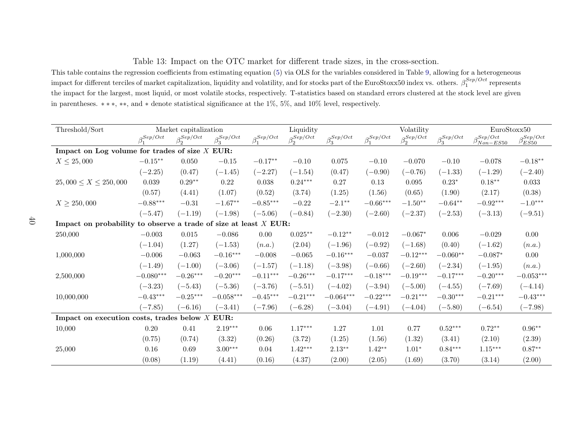<span id="page-40-0"></span>Table 13: Impact on the OTC market for different trade sizes, in the cross-section.

 This table contains the regression coefficients from estimating equation [\(5\)](#page-27-1) via OLS for the variables considered in Table [9,](#page-36-1) allowing for <sup>a</sup> heterogeneous impact for different terciles of market capitalization, liquidity and volatility, and for stocks part of the EuroStoxx50 index vs. others.  $\beta_1^{Sep/Oct}$  represents the impact for the largest, most liquid, or most volatile stocks, respectively. T-statistics based on standard errors clustered at the stock level are givenin parentheses. <sup>∗</sup> <sup>∗</sup> <sup>∗</sup>, ∗∗, and <sup>∗</sup> denote statistical significance at the 1%, 5%, and 10% level, respectively.

| Threshold/Sort                                                     |                     | Market capitalization |                     | Liquidity           |                     |                     |                     | Volatility          | EuroStoxx50         |                                   |                          |
|--------------------------------------------------------------------|---------------------|-----------------------|---------------------|---------------------|---------------------|---------------------|---------------------|---------------------|---------------------|-----------------------------------|--------------------------|
|                                                                    | $\beta_1^{Sep/Oct}$ | $\beta_2^{Sep/Oct}$   | $\beta_3^{Sep/Oct}$ | $\beta_1^{Sep/Oct}$ | $\beta_2^{Sep/Oct}$ | $\beta_3^{Sep/Oct}$ | $\beta_1^{Sep/Oct}$ | $\beta_2^{Sep/Oct}$ | $\beta_3^{Sep/Oct}$ | $_0$ Sep/Oct<br>$\rho_{Non-ES50}$ | $\beta_{ES50}^{Sep/Oct}$ |
| Impact on Log volume for trades of size $X$ EUR:                   |                     |                       |                     |                     |                     |                     |                     |                     |                     |                                   |                          |
| $X \le 25,000$                                                     | $-0.15^{\ast\ast}$  | 0.050                 | $-0.15$             | $-0.17**$           | $-0.10$             | $0.075\,$           | $-0.10$             | $-0.070$            | $-0.10$             | $-0.078$                          | $-0.18**$                |
|                                                                    | $(-2.25)$           | (0.47)                | $(-1.45)$           | $(-2.27)$           | $(-1.54)$           | (0.47)              | $(-0.90)$           | $(-0.76)$           | $(-1.33)$           | $(-1.29)$                         | $(-2.40)$                |
| $25,000 \le X \le 250,000$                                         | 0.039               | $0.29**$              | 0.22                | 0.038               | $0.24***$           | 0.27                | 0.13                | 0.095               | $0.23*$             | $0.18***$                         | 0.033                    |
|                                                                    | (0.57)              | (4.41)                | (1.07)              | (0.52)              | (3.74)              | (1.25)              | (1.56)              | (0.65)              | (1.90)              | (2.17)                            | (0.38)                   |
| $X \ge 250,000$                                                    | $-0.88***$          | $-0.31$               | $-1.67**$           | $-0.85***$          | $-0.22$             | $-2.1***$           | $-0.66***$          | $-1.50**$           | $-0.64**$           | $-0.92***$                        | $-1.0***$                |
|                                                                    | $(-5.47)$           | $(-1.19)$             | $(-1.98)$           | $(-5.06)$           | $(-0.84)$           | $(-2.30)$           | $(-2.60)$           | $(-2.37)$           | $(-2.53)$           | $(-3.13)$                         | $(-9.51)$                |
| Impact on probability to observe a trade of size at least $X$ EUR: |                     |                       |                     |                     |                     |                     |                     |                     |                     |                                   |                          |
| 250,000                                                            | $-0.003$            | 0.015                 | $-0.086$            | 0.00                | $0.025***$          | $-0.12**$           | $-0.012$            | $-0.067*$           | 0.006               | $-0.029$                          | $0.00\,$                 |
|                                                                    | $(-1.04)$           | (1.27)                | $(-1.53)$           | (n.a.)              | (2.04)              | $(-1.96)$           | $(-0.92)$           | $(-1.68)$           | (0.40)              | $(-1.62)$                         | (n.a.)                   |
| 1,000,000                                                          | $-0.006$            | $-0.063$              | $-0.16***$          | $-0.008$            | $-0.065$            | $-0.16***$          | $-0.037$            | $-0.12***$          | $-0.060**$          | $-0.087*$                         | 0.00                     |
|                                                                    | $(-1.49)$           | $(-1.00)$             | $(-3.06)$           | $(-1.57)$           | $(-1.18)$           | $(-3.98)$           | $(-0.66)$           | $(-2.60)$           | $(-2.34)$           | $(-1.95)$                         | (n.a.)                   |
| 2,500,000                                                          | $-0.080***$         | $-0.26***$            | $-0.20***$          | $-0.11***$          | $-0.26***$          | $-0.17***$          | $-0.18***$          | $-0.19***$          | $-0.17***$          | $-0.20***$                        | $-0.053***$              |
|                                                                    | $(-3.23)$           | $(-5.43)$             | $(-5.36)$           | $(-3.76)$           | $(-5.51)$           | $(-4.02)$           | $(-3.94)$           | $(-5.00)$           | $(-4.55)$           | $(-7.69)$                         | $(-4.14)$                |
| 10,000,000                                                         | $-0.43***$          | $-0.25***$            | $-0.058***$         | $-0.45***$          | $-0.21***$          | $-0.064***$         | $-0.22***$          | $-0.21***$          | $-0.30***$          | $-0.21***$                        | $-0.43***$               |
|                                                                    | $(-7.85)$           | $(-6.16)$             | $(-3.41)$           | $(-7.96)$           | $(-6.28)$           | $(-3.04)$           | $(-4.91)$           | $(-4.04)$           | $(-5.80)$           | $(-6.54)$                         | $(-7.98)$                |
| Impact on execution costs, trades below $X$ EUR:                   |                     |                       |                     |                     |                     |                     |                     |                     |                     |                                   |                          |
| 10,000                                                             | 0.20                | 0.41                  | $2.19***$           | 0.06                | $1.17***$           | 1.27                | 1.01                | 0.77                | $0.52***$           | $0.72**$                          | $0.96**$                 |
|                                                                    | (0.75)              | (0.74)                | (3.32)              | (0.26)              | (3.72)              | (1.25)              | (1.56)              | (1.32)              | (3.41)              | (2.10)                            | (2.39)                   |
| 25,000                                                             | 0.16                | 0.69                  | $3.00***$           | 0.04                | $1.42***$           | $2.13**$            | $1.42**$            | $1.01*$             | $0.84***$           | $1.15***$                         | $0.87**$                 |
|                                                                    | (0.08)              | (1.19)                | (4.41)              | (0.16)              | (4.37)              | (2.00)              | (2.05)              | (1.69)              | (3.70)              | (3.14)                            | (2.00)                   |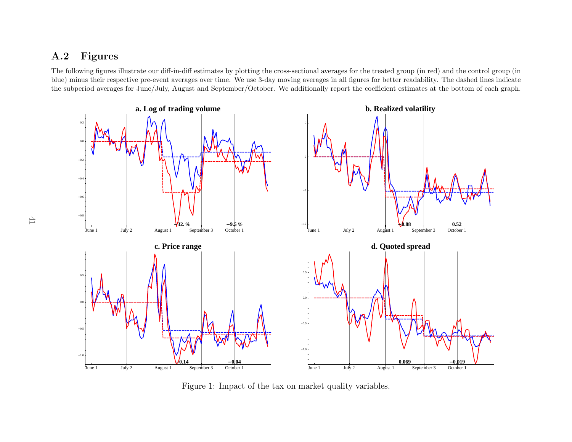# <span id="page-41-0"></span>A.2 Figures

The following figures illustrate our diff-in-diff estimates by <sup>p</sup>lotting the cross-sectional averages for the treated group (in red) and the control group (in blue) minus their respective pre-event averages over time. We use 3-day moving averages in all figures for better readability. The dashed lines indicatethe subperiod averages for June/July, August and September/October. We additionally report the coefficient estimates at the bottom of each graph.



Figure 1: Impact of the tax on market quality variables.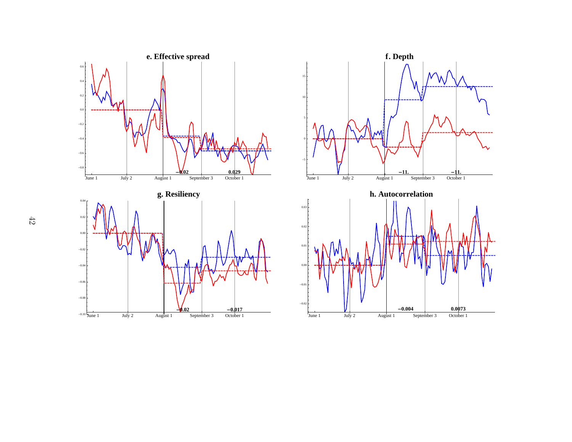

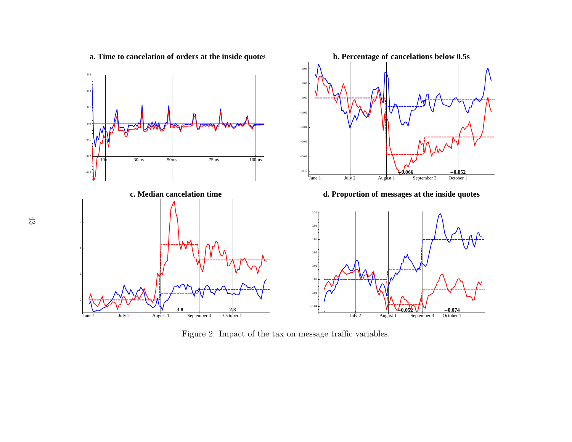<span id="page-43-0"></span>

Figure 2: Impact of the tax on message traffic variables.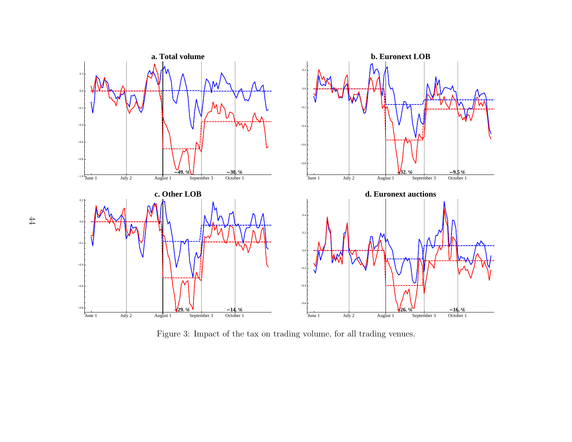

Figure 3: Impact of the tax on trading volume, for all trading venues.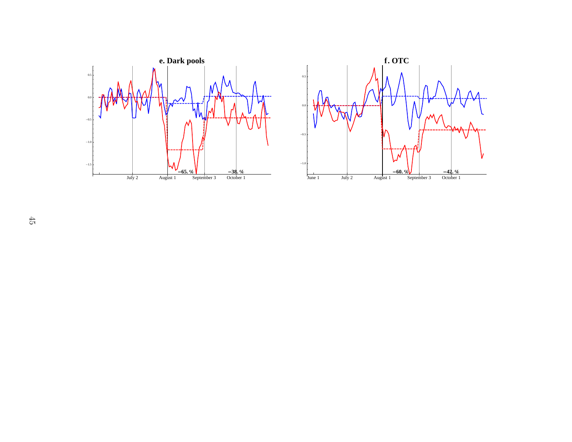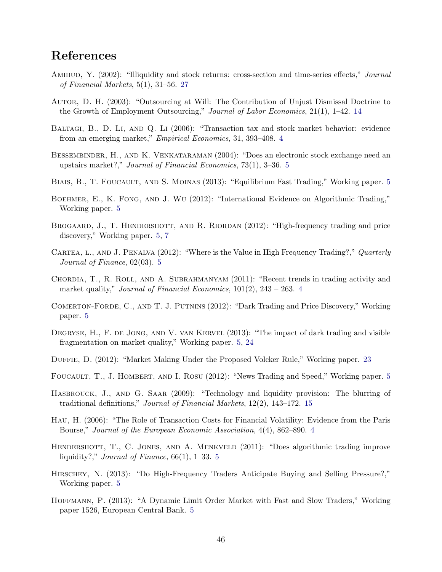# References

- <span id="page-46-17"></span>AMIHUD, Y. (2002): "Illiquidity and stock returns: cross-section and time-series effects," Journal of Financial Markets, 5(1), 31–56. [27](#page-27-2)
- <span id="page-46-14"></span>Autor, D. H. (2003): "Outsourcing at Will: The Contribution of Unjust Dismissal Doctrine to the Growth of Employment Outsourcing," Journal of Labor Economics, 21(1), 1–42. [14](#page-14-2)
- <span id="page-46-0"></span>BALTAGI, B., D. LI, AND Q. LI (2006): "Transaction tax and stock market behavior: evidence from an emerging market," Empirical Economics, 31, 393–408. [4](#page-4-0)
- <span id="page-46-10"></span>BESSEMBINDER, H., AND K. VENKATARAMAN (2004): "Does an electronic stock exchange need an upstairs market?," Journal of Financial Economics, 73(1), 3–36. [5](#page-5-0)
- <span id="page-46-3"></span>BIAIS, B., T. FOUCAULT, AND S. MOINAS (2013): "Equilibrium Fast Trading," Working paper. [5](#page-5-0)
- <span id="page-46-8"></span>BOEHMER, E., K. FONG, AND J. WU (2012): "International Evidence on Algorithmic Trading," Working paper. [5](#page-5-0)
- <span id="page-46-9"></span>BROGAARD, J., T. HENDERSHOTT, AND R. RIORDAN (2012): "High-frequency trading and price discovery," Working paper. [5,](#page-5-0) [7](#page-7-1)
- <span id="page-46-5"></span>CARTEA, L., AND J. PENALVA (2012): "Where is the Value in High Frequency Trading?," Quarterly Journal of Finance, 02(03). [5](#page-5-0)
- <span id="page-46-2"></span>Chordia, T., R. Roll, and A. Subrahmanyam (2011): "Recent trends in trading activity and market quality," Journal of Financial Economics,  $101(2)$ ,  $243 - 263$  $243 - 263$  $243 - 263$ . 4
- <span id="page-46-13"></span>Comerton-Forde, C., and T. J. Putnins (2012): "Dark Trading and Price Discovery," Working paper. [5](#page-5-0)
- <span id="page-46-12"></span>DEGRYSE, H., F. DE JONG, AND V. VAN KERVEL (2013): "The impact of dark trading and visible fragmentation on market quality," Working paper. [5,](#page-5-0) [24](#page-24-2)
- <span id="page-46-16"></span>Duffie, D. (2012): "Market Making Under the Proposed Volcker Rule," Working paper. [23](#page-23-1)
- <span id="page-46-6"></span>FOUCAULT, T., J. HOMBERT, AND I. ROSU (2012): "News Trading and Speed," Working paper. [5](#page-5-0)
- <span id="page-46-15"></span>HASBROUCK, J., AND G. SAAR (2009): "Technology and liquidity provision: The blurring of traditional definitions," Journal of Financial Markets, 12(2), 143–172. [15](#page-15-0)
- <span id="page-46-1"></span>Hau, H. (2006): "The Role of Transaction Costs for Financial Volatility: Evidence from the Paris Bourse," Journal of the European Economic Association, 4(4), 862–890. [4](#page-4-0)
- <span id="page-46-7"></span>HENDERSHOTT, T., C. JONES, AND A. MENKVELD (2011): "Does algorithmic trading improve liquidity?," *Journal of Finance*,  $66(1)$ , 1–33. [5](#page-5-0)
- <span id="page-46-11"></span>Hirschey, N. (2013): "Do High-Frequency Traders Anticipate Buying and Selling Pressure?," Working paper. [5](#page-5-0)
- <span id="page-46-4"></span>Hoffmann, P. (2013): "A Dynamic Limit Order Market with Fast and Slow Traders," Working paper 1526, European Central Bank. [5](#page-5-0)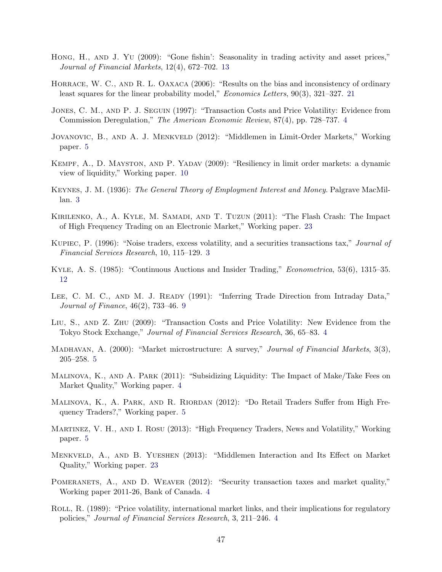- <span id="page-47-14"></span>Hong, H., AND J. YU (2009): "Gone fishin': Seasonality in trading activity and asset prices," Journal of Financial Markets, 12(4), 672–702. [13](#page-13-2)
- <span id="page-47-15"></span>HORRACE, W. C., AND R. L. OAXACA (2006): "Results on the bias and inconsistency of ordinary least squares for the linear probability model," Economics Letters, 90(3), 321–327. [21](#page-21-2)
- <span id="page-47-4"></span>Jones, C. M., and P. J. Seguin (1997): "Transaction Costs and Price Volatility: Evidence from Commission Deregulation," The American Economic Review, 87(4), pp. 728–737. [4](#page-4-0)
- <span id="page-47-7"></span>Jovanovic, B., and A. J. Menkveld (2012): "Middlemen in Limit-Order Markets," Working paper. [5](#page-5-0)
- <span id="page-47-12"></span>Kempf, A., D. Mayston, and P. Yadav (2009): "Resiliency in limit order markets: a dynamic view of liquidity," Working paper. [10](#page-10-2)
- <span id="page-47-0"></span>Keynes, J. M. (1936): The General Theory of Employment Interest and Money. Palgrave MacMillan. [3](#page-3-1)
- <span id="page-47-17"></span>Kirilenko, A., A. Kyle, M. Samadi, and T. Tuzun (2011): "The Flash Crash: The Impact of High Frequency Trading on an Electronic Market," Working paper. [23](#page-23-1)
- <span id="page-47-1"></span>Kupiec, P. (1996): "Noise traders, excess volatility, and a securities transactions tax," Journal of Financial Services Research, 10, 115–129. [3](#page-3-1)
- <span id="page-47-13"></span>Kyle, A. S. (1985): "Continuous Auctions and Insider Trading," Econometrica, 53(6), 1315–35. [12](#page-12-0)
- <span id="page-47-11"></span>LEE, C. M. C., AND M. J. READY (1991): "Inferring Trade Direction from Intraday Data," Journal of Finance, 46(2), 733–46. [9](#page-9-3)
- <span id="page-47-5"></span>Liu, S., and Z. Zhu (2009): "Transaction Costs and Price Volatility: New Evidence from the Tokyo Stock Exchange," Journal of Financial Services Research, 36, 65–83. [4](#page-4-0)
- <span id="page-47-10"></span>MADHAVAN, A. (2000): "Market microstructure: A survey," Journal of Financial Markets, 3(3), 205–258. [5](#page-5-0)
- <span id="page-47-6"></span>Malinova, K., and A. Park (2011): "Subsidizing Liquidity: The Impact of Make/Take Fees on Market Quality," Working paper. [4](#page-4-0)
- <span id="page-47-9"></span>MALINOVA, K., A. PARK, AND R. RIORDAN (2012): "Do Retail Traders Suffer from High Frequency Traders?," Working paper. [5](#page-5-0)
- <span id="page-47-8"></span>Martinez, V. H., and I. Rosu (2013): "High Frequency Traders, News and Volatility," Working paper. [5](#page-5-0)
- <span id="page-47-16"></span>Menkveld, A., and B. Yueshen (2013): "Middlemen Interaction and Its Effect on Market Quality," Working paper. [23](#page-23-1)
- <span id="page-47-3"></span>POMERANETS, A., AND D. WEAVER (2012): "Security transaction taxes and market quality," Working paper 2011-26, Bank of Canada. [4](#page-4-0)
- <span id="page-47-2"></span>ROLL, R. (1989): "Price volatility, international market links, and their implications for regulatory policies," Journal of Financial Services Research, 3, 211–246. [4](#page-4-0)